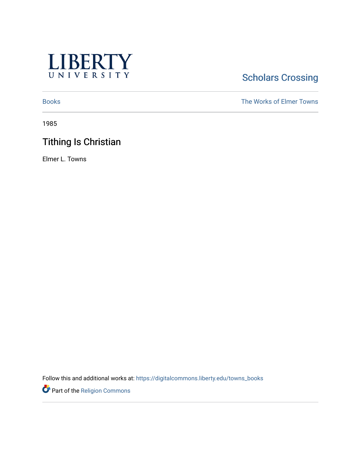

# **Scholars Crossing**

[Books](https://digitalcommons.liberty.edu/towns_books) The Works of Elmer Towns

1985

# Tithing Is Christian

Elmer L. Towns

Follow this and additional works at: [https://digitalcommons.liberty.edu/towns\\_books](https://digitalcommons.liberty.edu/towns_books?utm_source=digitalcommons.liberty.edu%2Ftowns_books%2F205&utm_medium=PDF&utm_campaign=PDFCoverPages) 

Part of the [Religion Commons](http://network.bepress.com/hgg/discipline/538?utm_source=digitalcommons.liberty.edu%2Ftowns_books%2F205&utm_medium=PDF&utm_campaign=PDFCoverPages)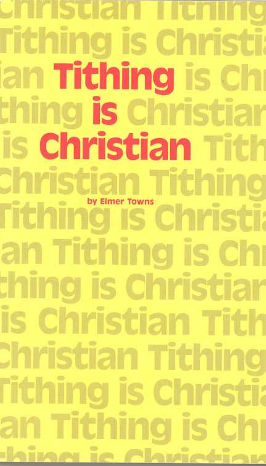Christian Tithing Tithing is Christi ian Tithing is Chi thing is Christiar is Christian Tith Christian Tithing<br>Tithing Is Christi an Tithing is Chi thing is Christiar is Christian Tith Christian Tithing **Tithing is Christia** an Tithing is Chı <u>: hina ic Chuictiau</u>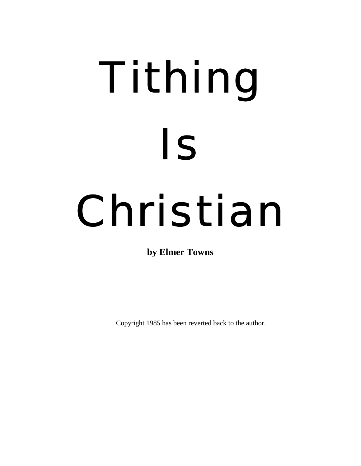# Tithing Is Christian

**by Elmer Towns** 

Copyright 1985 has been reverted back to the author.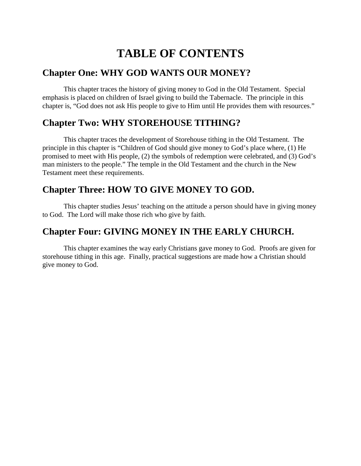# **TABLE OF CONTENTS**

# **Chapter One: WHY GOD WANTS OUR MONEY?**

This chapter traces the history of giving money to God in the Old Testament. Special emphasis is placed on children of Israel giving to build the Tabernacle. The principle in this chapter is, "God does not ask His people to give to Him until He provides them with resources."

# **Chapter Two: WHY STOREHOUSE TITHING?**

This chapter traces the development of Storehouse tithing in the Old Testament. The principle in this chapter is "Children of God should give money to God's place where, (1) He promised to meet with His people, (2) the symbols of redemption were celebrated, and (3) God's man ministers to the people." The temple in the Old Testament and the church in the New Testament meet these requirements.

# **Chapter Three: HOW TO GIVE MONEY TO GOD.**

This chapter studies Jesus' teaching on the attitude a person should have in giving money to God. The Lord will make those rich who give by faith.

# **Chapter Four: GIVING MONEY IN THE EARLY CHURCH.**

This chapter examines the way early Christians gave money to God. Proofs are given for storehouse tithing in this age. Finally, practical suggestions are made how a Christian should give money to God.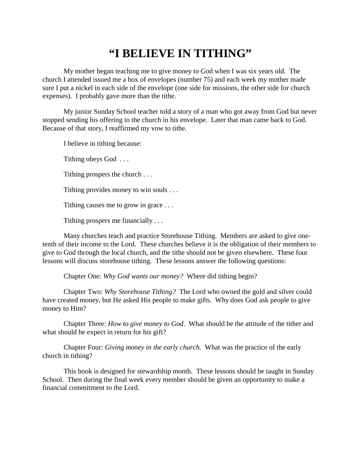# **"I BELIEVE IN TITHING"**

My mother began teaching me to give money to God when I was six years old. The church I attended issued me a box of envelopes (number 75) and each week my mother made sure I put a nickel in each side of the envelope (one side for missions, the other side for church expenses). I probably gave more than the tithe.

My junior Sunday School teacher told a story of a man who got away from God but never stopped sending his offering to the church in his envelope. Later that man came back to God. Because of that story, I reaffirmed my vow to tithe.

I believe in tithing because:

Tithing obeys God . . .

Tithing prospers the church . . .

Tithing provides money to win souls . . .

Tithing causes me to grow in grace . . .

Tithing prospers me financially . . .

Many churches teach and practice Storehouse Tithing. Members are asked to give onetenth of their income to the Lord. These churches believe it is the obligation of their members to give to God through the local church, and the tithe should not be given elsewhere. These four lessons will discuss storehouse tithing. These lessons answer the following questions:

Chapter One: *Why God wants our money?* Where did tithing begin?

Chapter Two: *Why Storehouse Tithing?* The Lord who owned the gold and silver could have created money, but He asked His people to make gifts. Why does God ask people to give money to Him?

Chapter Three: *How to give money to God.* What should be the attitude of the tither and what should he expect in return for his gift?

Chapter Four: *Giving money in the early church.* What was the practice of the early church in tithing?

This book is designed for stewardship month. These lessons should be taught in Sunday School. Then during the final week every member should be given an opportunity to make a financial commitment to the Lord.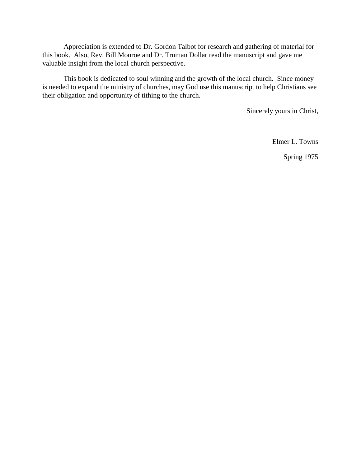Appreciation is extended to Dr. Gordon Talbot for research and gathering of material for this book. Also, Rev. Bill Monroe and Dr. Truman Dollar read the manuscript and gave me valuable insight from the local church perspective.

This book is dedicated to soul winning and the growth of the local church. Since money is needed to expand the ministry of churches, may God use this manuscript to help Christians see their obligation and opportunity of tithing to the church.

Sincerely yours in Christ,

Elmer L. Towns

Spring 1975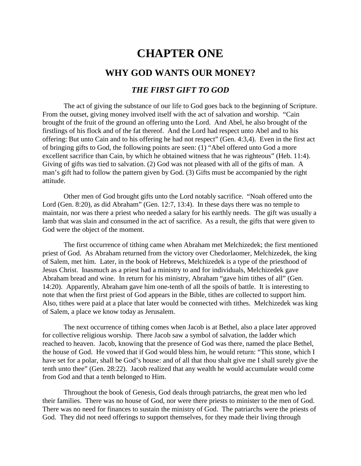# **CHAPTER ONE**

# **WHY GOD WANTS OUR MONEY?**

### *THE FIRST GIFT TO GOD*

The act of giving the substance of our life to God goes back to the beginning of Scripture. From the outset, giving money involved itself with the act of salvation and worship. "Cain brought of the fruit of the ground an offering unto the Lord. And Abel, he also brought of the firstlings of his flock and of the fat thereof. And the Lord had respect unto Abel and to his offering: But unto Cain and to his offering he had not respect" (Gen. 4:3,4). Even in the first act of bringing gifts to God, the following points are seen: (1) "Abel offered unto God a more excellent sacrifice than Cain, by which he obtained witness that he was righteous" (Heb. 11:4). Giving of gifts was tied to salvation. (2) God was not pleased with all of the gifts of man. A man's gift had to follow the pattern given by God. (3) Gifts must be accompanied by the right attitude.

Other men of God brought gifts unto the Lord notably sacrifice. "Noah offered unto the Lord (Gen. 8:20), as did Abraham" (Gen. 12:7, 13:4). In these days there was no temple to maintain, nor was there a priest who needed a salary for his earthly needs. The gift was usually a lamb that was slain and consumed in the act of sacrifice. As a result, the gifts that were given to God were the object of the moment.

The first occurrence of tithing came when Abraham met Melchizedek; the first mentioned priest of God. As Abraham returned from the victory over Chedorlaomer, Melchizedek, the king of Salem, met him. Later, in the book of Hebrews, Melchizedek is a type of the priesthood of Jesus Christ. Inasmuch as a priest had a ministry to and for individuals, Melchizedek gave Abraham bread and wine. In return for his ministry, Abraham "gave him tithes of all" (Gen. 14:20). Apparently, Abraham gave him one-tenth of all the spoils of battle. It is interesting to note that when the first priest of God appears in the Bible, tithes are collected to support him. Also, tithes were paid at a place that later would be connected with tithes. Melchizedek was king of Salem, a place we know today as Jerusalem.

The next occurrence of tithing comes when Jacob is at Bethel, also a place later approved for collective religious worship. There Jacob saw a symbol of salvation, the ladder which reached to heaven. Jacob, knowing that the presence of God was there, named the place Bethel, the house of God. He vowed that if God would bless him, he would return: "This stone, which I have set for a polar, shall be God's house: and of all that thou shalt give me I shall surely give the tenth unto thee" (Gen. 28:22). Jacob realized that any wealth he would accumulate would come from God and that a tenth belonged to Him.

Throughout the book of Genesis, God deals through patriarchs, the great men who led their families. There was no house of God, nor were there priests to minister to the men of God. There was no need for finances to sustain the ministry of God. The patriarchs were the priests of God. They did not need offerings to support themselves, for they made their living through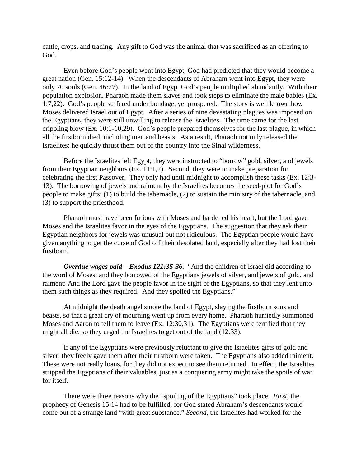cattle, crops, and trading. Any gift to God was the animal that was sacrificed as an offering to God.

Even before God's people went into Egypt, God had predicted that they would become a great nation (Gen. 15:12-14). When the descendants of Abraham went into Egypt, they were only 70 souls (Gen. 46:27). In the land of Egypt God's people multiplied abundantly. With their population explosion, Pharaoh made them slaves and took steps to eliminate the male babies (Ex. 1:7,22). God's people suffered under bondage, yet prospered. The story is well known how Moses delivered Israel out of Egypt. After a series of nine devastating plagues was imposed on the Egyptians, they were still unwilling to release the Israelites. The time came for the last crippling blow (Ex. 10:1-10,29). God's people prepared themselves for the last plague, in which all the firstborn died, including men and beasts. As a result, Pharaoh not only released the Israelites; he quickly thrust them out of the country into the Sinai wilderness.

Before the Israelites left Egypt, they were instructed to "borrow" gold, silver, and jewels from their Egyptian neighbors (Ex. 11:1,2). Second, they were to make preparation for celebrating the first Passover. They only had until midnight to accomplish these tasks (Ex. 12:3- 13). The borrowing of jewels and raiment by the Israelites becomes the seed-plot for God's people to make gifts: (1) to build the tabernacle, (2) to sustain the ministry of the tabernacle, and (3) to support the priesthood.

Pharaoh must have been furious with Moses and hardened his heart, but the Lord gave Moses and the Israelites favor in the eyes of the Egyptians. The suggestion that they ask their Egyptian neighbors for jewels was unusual but not ridiculous. The Egyptian people would have given anything to get the curse of God off their desolated land, especially after they had lost their firstborn.

*Overdue wages paid – Exodus 121:35-36.* "And the children of Israel did according to the word of Moses; and they borrowed of the Egyptians jewels of silver, and jewels of gold, and raiment: And the Lord gave the people favor in the sight of the Egyptians, so that they lent unto them such things as they required. And they spoiled the Egyptians."

At midnight the death angel smote the land of Egypt, slaying the firstborn sons and beasts, so that a great cry of mourning went up from every home. Pharaoh hurriedly summoned Moses and Aaron to tell them to leave (Ex. 12:30,31). The Egyptians were terrified that they might all die, so they urged the Israelites to get out of the land (12:33).

If any of the Egyptians were previously reluctant to give the Israelites gifts of gold and silver, they freely gave them after their firstborn were taken. The Egyptians also added raiment. These were not really loans, for they did not expect to see them returned. In effect, the Israelites stripped the Egyptians of their valuables, just as a conquering army might take the spoils of war for itself.

There were three reasons why the "spoiling of the Egyptians" took place. *First,* the prophecy of Genesis 15:14 had to be fulfilled, for God stated Abraham's descendants would come out of a strange land "with great substance." *Second,* the Israelites had worked for the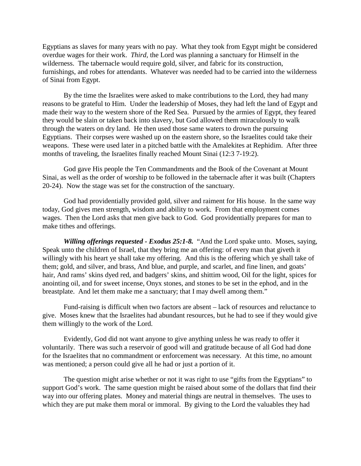Egyptians as slaves for many years with no pay. What they took from Egypt might be considered overdue wages for their work. *Third,* the Lord was planning a sanctuary for Himself in the wilderness. The tabernacle would require gold, silver, and fabric for its construction, furnishings, and robes for attendants. Whatever was needed had to be carried into the wilderness of Sinai from Egypt.

By the time the Israelites were asked to make contributions to the Lord, they had many reasons to be grateful to Him. Under the leadership of Moses, they had left the land of Egypt and made their way to the western shore of the Red Sea. Pursued by the armies of Egypt, they feared they would be slain or taken back into slavery, but God allowed them miraculously to walk through the waters on dry land. He then used those same waters to drown the pursuing Egyptians. Their corpses were washed up on the eastern shore, so the Israelites could take their weapons. These were used later in a pitched battle with the Amalekites at Rephidim. After three months of traveling, the Israelites finally reached Mount Sinai (12:3 7-19:2).

God gave His people the Ten Commandments and the Book of the Covenant at Mount Sinai, as well as the order of worship to be followed in the tabernacle after it was built (Chapters 20-24). Now the stage was set for the construction of the sanctuary.

God had providentially provided gold, silver and raiment for His house. In the same way today, God gives men strength, wisdom and ability to work. From that employment comes wages. Then the Lord asks that men give back to God. God providentially prepares for man to make tithes and offerings.

*Willing offerings requested - Exodus 25:1-8.* "And the Lord spake unto. Moses, saying, Speak unto the children of Israel, that they bring me an offering: of every man that giveth it willingly with his heart ye shall take my offering. And this is the offering which ye shall take of them; gold, and silver, and brass, And blue, and purple, and scarlet, and fine linen, and goats' hair, And rams' skins dyed red, and badgers' skins, and shittim wood, Oil for the light, spices for anointing oil, and for sweet incense, Onyx stones, and stones to be set in the ephod, and in the breastplate. And let them make me a sanctuary; that I may dwell among them."

Fund-raising is difficult when two factors are absent – lack of resources and reluctance to give. Moses knew that the Israelites had abundant resources, but he had to see if they would give them willingly to the work of the Lord.

Evidently, God did not want anyone to give anything unless he was ready to offer it voluntarily. There was such a reservoir of good will and gratitude because of all God had done for the Israelites that no commandment or enforcement was necessary. At this time, no amount was mentioned; a person could give all he had or just a portion of it.

The question might arise whether or not it was right to use "gifts from the Egyptians" to support God's work. The same question might be raised about some of the dollars that find their way into our offering plates. Money and material things are neutral in themselves. The uses to which they are put make them moral or immoral. By giving to the Lord the valuables they had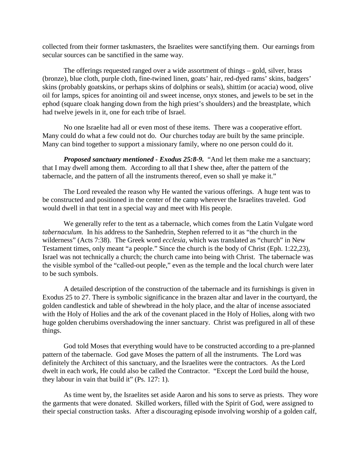collected from their former taskmasters, the Israelites were sanctifying them. Our earnings from secular sources can be sanctified in the same way.

The offerings requested ranged over a wide assortment of things – gold, silver, brass (bronze), blue cloth, purple cloth, fine-twined linen, goats' hair, red-dyed rams' skins, badgers' skins (probably goatskins, or perhaps skins of dolphins or seals), shittim (or acacia) wood, olive oil for lamps, spices for anointing oil and sweet incense, onyx stones, and jewels to be set in the ephod (square cloak hanging down from the high priest's shoulders) and the breastplate, which had twelve jewels in it, one for each tribe of Israel.

No one Israelite had all or even most of these items. There was a cooperative effort. Many could do what a few could not do. Our churches today are built by the same principle. Many can bind together to support a missionary family, where no one person could do it.

*Proposed sanctuary mentioned - Exodus 25:8-9.* "And let them make me a sanctuary; that I may dwell among them. According to all that I shew thee, after the pattern of the tabernacle, and the pattern of all the instruments thereof, even so shall ye make it."

The Lord revealed the reason why He wanted the various offerings. A huge tent was to be constructed and positioned in the center of the camp wherever the Israelites traveled. God would dwell in that tent in a special way and meet with His people.

We generally refer to the tent as a tabernacle, which comes from the Latin Vulgate word *tabernaculum.* In his address to the Sanhedrin, Stephen referred to it as "the church in the wilderness" (Acts 7:38). The Greek word *ecclesia,* which was translated as "church" in New Testament times, only meant "a people." Since the church is the body of Christ (Eph. 1:22,23), Israel was not technically a church; the church came into being with Christ. The tabernacle was the visible symbol of the "called-out people," even as the temple and the local church were later to be such symbols.

A detailed description of the construction of the tabernacle and its furnishings is given in Exodus 25 to 27. There is symbolic significance in the brazen altar and laver in the courtyard, the golden candlestick and table of shewbread in the holy place, and the altar of incense associated with the Holy of Holies and the ark of the covenant placed in the Holy of Holies, along with two huge golden cherubims overshadowing the inner sanctuary. Christ was prefigured in all of these things.

God told Moses that everything would have to be constructed according to a pre-planned pattern of the tabernacle. God gave Moses the pattern of all the instruments. The Lord was definitely the Architect of this sanctuary, and the Israelites were the contractors. As the Lord dwelt in each work, He could also be called the Contractor. "Except the Lord build the house, they labour in vain that build it" (Ps. 127: 1).

As time went by, the Israelites set aside Aaron and his sons to serve as priests. They wore the garments that were donated. Skilled workers, filled with the Spirit of God, were assigned to their special construction tasks. After a discouraging episode involving worship of a golden calf,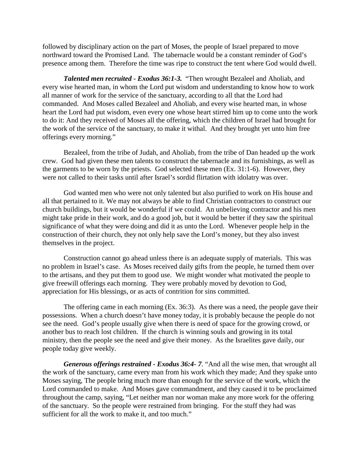followed by disciplinary action on the part of Moses, the people of Israel prepared to move northward toward the Promised Land. The tabernacle would be a constant reminder of God's presence among them. Therefore the time was ripe to construct the tent where God would dwell.

*Talented men recruited - Exodus 36:1-3.* "Then wrought Bezaleel and Aholiab, and every wise hearted man, in whom the Lord put wisdom and understanding to know how to work all manner of work for the service of the sanctuary, according to all that the Lord had commanded. And Moses called Bezaleel and Aholiab, and every wise hearted man, in whose heart the Lord had put wisdom, even every one whose heart stirred him up to come unto the work to do it: And they received of Moses all the offering, which the children of Israel had brought for the work of the service of the sanctuary, to make it withal. And they brought yet unto him free offerings every morning."

Bezaleel, from the tribe of Judah, and Aholiab, from the tribe of Dan headed up the work crew. God had given these men talents to construct the tabernacle and its furnishings, as well as the garments to be worn by the priests. God selected these men (Ex. 31:1-6). However, they were not called to their tasks until after Israel's sordid flirtation with idolatry was over.

God wanted men who were not only talented but also purified to work on His house and all that pertained to it. We may not always be able to find Christian contractors to construct our church buildings, but it would be wonderful if we could. An unbelieving contractor and his men might take pride in their work, and do a good job, but it would be better if they saw the spiritual significance of what they were doing and did it as unto the Lord. Whenever people help in the construction of their church, they not only help save the Lord's money, but they also invest themselves in the project.

Construction cannot go ahead unless there is an adequate supply of materials. This was no problem in Israel's case. As Moses received daily gifts from the people, he turned them over to the artisans, and they put them to good use. We might wonder what motivated the people to give freewill offerings each morning. They were probably moved by devotion to God, appreciation for His blessings, or as acts of contrition for sins committed.

The offering came in each morning (Ex. 36:3). As there was a need, the people gave their possessions. When a church doesn't have money today, it is probably because the people do not see the need. God's people usually give when there is need of space for the growing crowd, or another bus to reach lost children. If the church is winning souls and growing in its total ministry, then the people see the need and give their money. As the Israelites gave daily, our people today give weekly.

*Generous offerings restrained - Exodus 36:4- 7.* "And all the wise men, that wrought all the work of the sanctuary, came every man from his work which they made; And they spake unto Moses saying, The people bring much more than enough for the service of the work, which the Lord commanded to make. And Moses gave commandment, and they caused it to be proclaimed throughout the camp, saying, "Let neither man nor woman make any more work for the offering of the sanctuary. So the people were restrained from bringing. For the stuff they had was sufficient for all the work to make it, and too much."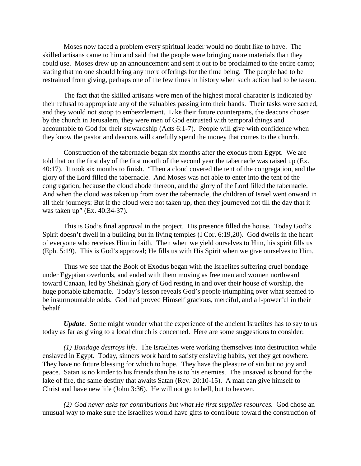Moses now faced a problem every spiritual leader would no doubt like to have. The skilled artisans came to him and said that the people were bringing more materials than they could use. Moses drew up an announcement and sent it out to be proclaimed to the entire camp; stating that no one should bring any more offerings for the time being. The people had to be restrained from giving, perhaps one of the few times in history when such action had to be taken.

The fact that the skilled artisans were men of the highest moral character is indicated by their refusal to appropriate any of the valuables passing into their hands. Their tasks were sacred, and they would not stoop to embezzlement. Like their future counterparts, the deacons chosen by the church in Jerusalem, they were men of God entrusted with temporal things and accountable to God for their stewardship (Acts 6:1-7). People will give with confidence when they know the pastor and deacons will carefully spend the money that comes to the church.

Construction of the tabernacle began six months after the exodus from Egypt. We are told that on the first day of the first month of the second year the tabernacle was raised up (Ex. 40:17). It took six months to finish. "Then a cloud covered the tent of the congregation, and the glory of the Lord filled the tabernacle. And Moses was not able to enter into the tent of the congregation, because the cloud abode thereon, and the glory of the Lord filled the tabernacle. And when the cloud was taken up from over the tabernacle, the children of Israel went onward in all their journeys: But if the cloud were not taken up, then they journeyed not till the day that it was taken up" (Ex. 40:34-37).

This is God's final approval in the project. His presence filled the house. Today God's Spirit doesn't dwell in a building but in living temples (I Cor. 6:19,20). God dwells in the heart of everyone who receives Him in faith. Then when we yield ourselves to Him, his spirit fills us (Eph. 5:19). This is God's approval; He fills us with His Spirit when we give ourselves to Him.

Thus we see that the Book of Exodus began with the Israelites suffering cruel bondage under Egyptian overlords, and ended with them moving as free men and women northward toward Canaan, led by Shekinah glory of God resting in and over their house of worship, the huge portable tabernacle. Today's lesson reveals God's people triumphing over what seemed to be insurmountable odds. God had proved Himself gracious, merciful, and all-powerful in their behalf.

*Update.* Some might wonder what the experience of the ancient Israelites has to say to us today as far as giving to a local church is concerned. Here are some suggestions to consider:

*(1) Bondage destroys life.* The Israelites were working themselves into destruction while enslaved in Egypt. Today, sinners work hard to satisfy enslaving habits, yet they get nowhere. They have no future blessing for which to hope. They have the pleasure of sin but no joy and peace. Satan is no kinder to his friends than he is to his enemies. The unsaved is bound for the lake of fire, the same destiny that awaits Satan (Rev. 20:10-15). A man can give himself to Christ and have new life (John 3:36). He will not go to hell, but to heaven.

*(2) God never asks for contributions but what He first supplies resources.* God chose an unusual way to make sure the Israelites would have gifts to contribute toward the construction of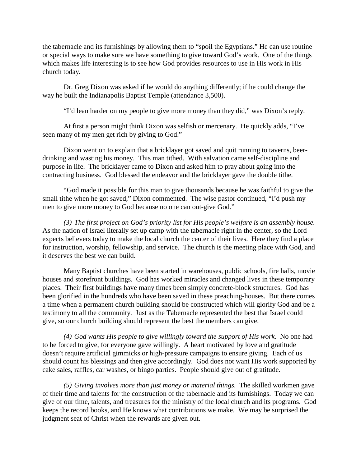the tabernacle and its furnishings by allowing them to "spoil the Egyptians." He can use routine or special ways to make sure we have something to give toward God's work. One of the things which makes life interesting is to see how God provides resources to use in His work in His church today.

Dr. Greg Dixon was asked if he would do anything differently; if he could change the way he built the Indianapolis Baptist Temple (attendance 3,500).

"I'd lean harder on my people to give more money than they did," was Dixon's reply.

At first a person might think Dixon was selfish or mercenary. He quickly adds, "I've seen many of my men get rich by giving to God."

Dixon went on to explain that a bricklayer got saved and quit running to taverns, beerdrinking and wasting his money. This man tithed. With salvation came self-discipline and purpose in life. The bricklayer came to Dixon and asked him to pray about going into the contracting business. God blessed the endeavor and the bricklayer gave the double tithe.

"God made it possible for this man to give thousands because he was faithful to give the small tithe when he got saved," Dixon commented. The wise pastor continued, "I'd push my men to give more money to God because no one can out-give God."

*(3) The first project on God's priority list for His people's welfare is an assembly house.*  As the nation of Israel literally set up camp with the tabernacle right in the center, so the Lord expects believers today to make the local church the center of their lives. Here they find a place for instruction, worship, fellowship, and service. The church is the meeting place with God, and it deserves the best we can build.

Many Baptist churches have been started in warehouses, public schools, fire halls, movie houses and storefront buildings. God has worked miracles and changed lives in these temporary places. Their first buildings have many times been simply concrete-block structures. God has been glorified in the hundreds who have been saved in these preaching-houses. But there comes a time when a permanent church building should be constructed which will glorify God and be a testimony to all the community. Just as the Tabernacle represented the best that Israel could give, so our church building should represent the best the members can give.

*(4) God wants His people to give willingly toward the support of His work.* No one had to be forced to give, for everyone gave willingly. A heart motivated by love and gratitude doesn't require artificial gimmicks or high-pressure campaigns to ensure giving. Each of us should count his blessings and then give accordingly. God does not want His work supported by cake sales, raffles, car washes, or bingo parties. People should give out of gratitude.

*(5) Giving involves more than just money or material things.* The skilled workmen gave of their time and talents for the construction of the tabernacle and its furnishings. Today we can give of our time, talents, and treasures for the ministry of the local church and its programs. God keeps the record books, and He knows what contributions we make. We may be surprised the judgment seat of Christ when the rewards are given out.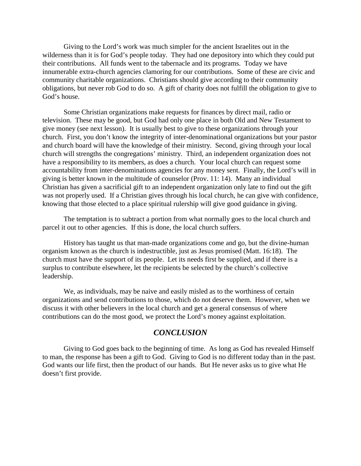Giving to the Lord's work was much simpler for the ancient Israelites out in the wilderness than it is for God's people today. They had one depository into which they could put their contributions. All funds went to the tabernacle and its programs. Today we have innumerable extra-church agencies clamoring for our contributions. Some of these are civic and community charitable organizations. Christians should give according to their community obligations, but never rob God to do so. A gift of charity does not fulfill the obligation to give to God's house.

Some Christian organizations make requests for finances by direct mail, radio or television. These may be good, but God had only one place in both Old and New Testament to give money (see next lesson). It is usually best to give to these organizations through your church. First, you don't know the integrity of inter-denominational organizations but your pastor and church board will have the knowledge of their ministry. Second, giving through your local church will strengths the congregations' ministry. Third, an independent organization does not have a responsibility to its members, as does a church. Your local church can request some accountability from inter-denominations agencies for any money sent. Finally, the Lord's will in giving is better known in the multitude of counselor (Prov. 11: 14). Many an individual Christian has given a sacrificial gift to an independent organization only late to find out the gift was not properly used. If a Christian gives through his local church, he can give with confidence, knowing that those elected to a place spiritual rulership will give good guidance in giving.

The temptation is to subtract a portion from what normally goes to the local church and parcel it out to other agencies. If this is done, the local church suffers.

History has taught us that man-made organizations come and go, but the divine-human organism known as the church is indestructible, just as Jesus promised (Matt. 16:18). The church must have the support of its people. Let its needs first be supplied, and if there is a surplus to contribute elsewhere, let the recipients be selected by the church's collective leadership.

We, as individuals, may be naive and easily misled as to the worthiness of certain organizations and send contributions to those, which do not deserve them. However, when we discuss it with other believers in the local church and get a general consensus of where contributions can do the most good, we protect the Lord's money against exploitation.

### *CONCLUSION*

Giving to God goes back to the beginning of time. As long as God has revealed Himself to man, the response has been a gift to God. Giving to God is no different today than in the past. God wants our life first, then the product of our hands. But He never asks us to give what He doesn't first provide.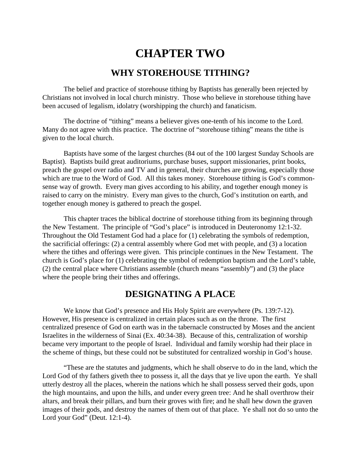# **CHAPTER TWO**

### **WHY STOREHOUSE TITHING?**

The belief and practice of storehouse tithing by Baptists has generally been rejected by Christians not involved in local church ministry. Those who believe in storehouse tithing have been accused of legalism, idolatry (worshipping the church) and fanaticism.

The doctrine of "tithing" means a believer gives one-tenth of his income to the Lord. Many do not agree with this practice. The doctrine of "storehouse tithing" means the tithe is given to the local church.

Baptists have some of the largest churches (84 out of the 100 largest Sunday Schools are Baptist). Baptists build great auditoriums, purchase buses, support missionaries, print books, preach the gospel over radio and TV and in general, their churches are growing, especially those which are true to the Word of God. All this takes money. Storehouse tithing is God's commonsense way of growth. Every man gives according to his ability, and together enough money is raised to carry on the ministry. Every man gives to the church, God's institution on earth, and together enough money is gathered to preach the gospel.

This chapter traces the biblical doctrine of storehouse tithing from its beginning through the New Testament. The principle of "God's place" is introduced in Deuteronomy 12:1-32. Throughout the Old Testament God had a place for (1) celebrating the symbols of redemption, the sacrificial offerings: (2) a central assembly where God met with people, and (3) a location where the tithes and offerings were given. This principle continues in the New Testament. The church is God's place for (1) celebrating the symbol of redemption baptism and the Lord's table, (2) the central place where Christians assemble (church means "assembly") and (3) the place where the people bring their tithes and offerings.

# **DESIGNATING A PLACE**

We know that God's presence and His Holy Spirit are everywhere (Ps. 139:7-12). However, His presence is centralized in certain places such as on the throne. The first centralized presence of God on earth was in the tabernacle constructed by Moses and the ancient Israelites in the wilderness of Sinai (Ex. 40:34-38). Because of this, centralization of worship became very important to the people of Israel. Individual and family worship had their place in the scheme of things, but these could not be substituted for centralized worship in God's house.

"These are the statutes and judgments, which he shall observe to do in the land, which the Lord God of thy fathers giveth thee to possess it, all the days that ye live upon the earth. Ye shall utterly destroy all the places, wherein the nations which he shall possess served their gods, upon the high mountains, and upon the hills, and under every green tree: And he shall overthrow their altars, and break their pillars, and burn their groves with fire; and he shall hew down the graven images of their gods, and destroy the names of them out of that place. Ye shall not do so unto the Lord your God" (Deut. 12:1-4).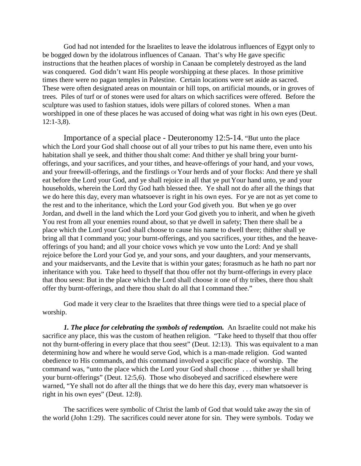God had not intended for the Israelites to leave the idolatrous influences of Egypt only to be bogged down by the idolatrous influences of Canaan. That's why He gave specific instructions that the heathen places of worship in Canaan be completely destroyed as the land was conquered. God didn't want His people worshipping at these places. In those primitive times there were no pagan temples in Palestine. Certain locations were set aside as sacred. These were often designated areas on mountain or hill tops, on artificial mounds, or in groves of trees. Piles of turf or of stones were used for altars on which sacrifices were offered. Before the sculpture was used to fashion statues, idols were pillars of colored stones. When a man worshipped in one of these places he was accused of doing what was right in his own eyes (Deut.  $12:1-3,8$ ).

Importance of a special place - Deuteronomy 12:5-14. "But unto the place which the Lord your God shall choose out of all your tribes to put his name there, even unto his habitation shall ye seek, and thither thou shalt come: And thither ye shall bring your burntofferings, and your sacrifices, and your tithes, and heave-offerings of your hand, and your vows, and your freewill-offerings, and the firstlings of Your herds and of your flocks: And there ye shall eat before the Lord your God, and ye shall rejoice in all that ye put Your hand unto, ye and your households, wherein the Lord thy God hath blessed thee. Ye shall not do after all the things that we do here this day, every man whatsoever is right in his own eyes. For ye are not as yet come to the rest and to the inheritance, which the Lord your God giveth you. But when ye go over Jordan, and dwell in the land which the Lord your God giveth you to inherit, and when he giveth You rest from all your enemies round about, so that ye dwell in safety; Then there shall be a place which the Lord your God shall choose to cause his name to dwell there; thither shall ye bring all that I command you; your burnt-offerings, and you sacrifices, your tithes, and the heaveofferings of you hand; and all your choice vows which ye vow unto the Lord: And ye shall rejoice before the Lord your God ye, and your sons, and your daughters, and your menservants, and your maidservants, and the Levite that is within your gates; forasmuch as he hath no part nor inheritance with you. Take heed to thyself that thou offer not thy burnt-offerings in every place that thou seest: But in the place which the Lord shall choose it one of thy tribes, there thou shalt offer thy burnt-offerings, and there thou shalt do all that I command thee."

God made it very clear to the Israelites that three things were tied to a special place of worship.

*1. The place for celebrating the symbols of redemption.* An Israelite could not make his sacrifice any place, this was the custom of heathen religion. "Take heed to thyself that thou offer not thy burnt-offering in every place that thou seest" (Deut. 12:13). This was equivalent to a man determining how and where he would serve God, which is a man-made religion. God wanted obedience to His commands, and this command involved a specific place of worship. The command was, "unto the place which the Lord your God shall choose . . . thither ye shall bring your burnt-offerings" (Deut. 12:5,6). Those who disobeyed and sacrificed elsewhere were warned, "Ye shall not do after all the things that we do here this day, every man whatsoever is right in his own eyes" (Deut. 12:8).

The sacrifices were symbolic of Christ the lamb of God that would take away the sin of the world (John 1:29). The sacrifices could never atone for sin. They were symbols. Today we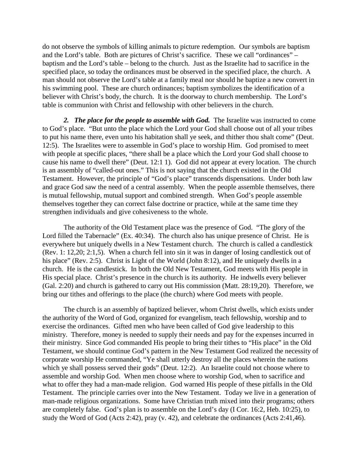do not observe the symbols of killing animals to picture redemption. Our symbols are baptism and the Lord's table. Both are pictures of Christ's sacrifice. These we call "ordinances" – baptism and the Lord's table – belong to the church. Just as the Israelite had to sacrifice in the specified place, so today the ordinances must be observed in the specified place, the church. A man should not observe the Lord's table at a family meal nor should he baptize a new convert in his swimming pool. These are church ordinances; baptism symbolizes the identification of a believer with Christ's body, the church. It is the doorway to church membership. The Lord's table is communion with Christ and fellowship with other believers in the church.

*2. The place for the people to assemble with God.* The Israelite was instructed to come to God's place. "But unto the place which the Lord your God shall choose out of all your tribes to put his name there, even unto his habitation shall ye seek, and thither thou shalt come" (Deut. 12:5). The Israelites were to assemble in God's place to worship Him. God promised to meet with people at specific places, "there shall be a place which the Lord your God shall choose to cause his name to dwell there" (Deut. 12:1 1). God did not appear at every location. The church is an assembly of "called-out ones." This is not saying that the church existed in the Old Testament. However, the principle of "God's place" transcends dispensations. Under both law and grace God saw the need of a central assembly. When the people assemble themselves, there is mutual fellowship, mutual support and combined strength. When God's people assemble themselves together they can correct false doctrine or practice, while at the same time they strengthen individuals and give cohesiveness to the whole.

The authority of the Old Testament place was the presence of God. "The glory of the Lord filled the Tabernacle" (Ex. 40:34). The church also has unique presence of Christ. He is everywhere but uniquely dwells in a New Testament church. The church is called a candlestick (Rev. 1: 12,20; 2:1,5). When a church fell into sin it was in danger of losing candlestick out of his place" (Rev. 2:5). Christ is Light of the World (John 8:12), and He uniquely dwells in a church. He is the candlestick. In both the Old New Testament, God meets with His people in His special place. Christ's presence in the church is its authority. He indwells every believer (Gal. 2:20) and church is gathered to carry out His commission (Matt. 28:19,20). Therefore, we bring our tithes and offerings to the place (the church) where God meets with people.

The church is an assembly of baptized believer, whom Christ dwells, which exists under the authority of the Word of God, organized for evangelism, teach fellowship, worship and to exercise the ordinances. Gifted men who have been called of God give leadership to this ministry. Therefore, money is needed to supply their needs and pay for the expenses incurred in their ministry. Since God commanded His people to bring their tithes to "His place" in the Old Testament, we should continue God's pattern in the New Testament God realized the necessity of corporate worship He commanded, "Ye shall utterly destroy all the places wherein the nations which ye shall possess served their gods" (Deut. 12:2). An Israelite could not choose where to assemble and worship God. When men choose where to worship God, when to sacrifice and what to offer they had a man-made religion. God warned His people of these pitfalls in the Old Testament. The principle carries over into the New Testament. Today we live in a generation of man-made religious organizations. Some have Christian truth mixed into their programs; others are completely false. God's plan is to assemble on the Lord's day (I Cor. 16:2, Heb. 10:25), to study the Word of God (Acts 2:42), pray (v. 42), and celebrate the ordinances (Acts 2:41,46).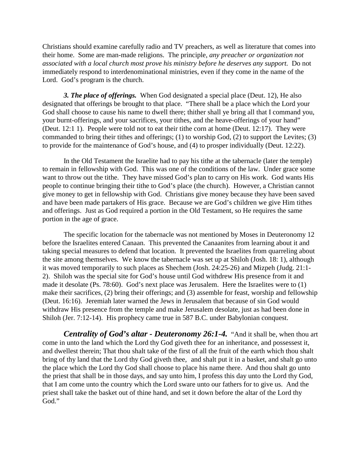Christians should examine carefully radio and TV preachers, as well as literature that comes into their home. Some are man-made religions. The principle, *any preacher or organization not associated with a local church most prove his ministry before he deserves any support.* Do not immediately respond to interdenominational ministries, even if they come in the name of the Lord. God's program is the church.

*3. The place of offerings.* When God designated a special place (Deut. 12), He also designated that offerings be brought to that place. "There shall be a place which the Lord your God shall choose to cause his name to dwell there; thither shall ye bring all that I command you, your burnt-offerings, and your sacrifices, your tithes, and the heave-offerings of your hand" (Deut. 12:1 1). People were told not to eat their tithe corn at home (Deut. 12:17). They were commanded to bring their tithes and offerings; (1) to worship God, (2) to support the Levites; (3) to provide for the maintenance of God's house, and (4) to prosper individually (Deut. 12:22).

In the Old Testament the Israelite had to pay his tithe at the tabernacle (later the temple) to remain in fellowship with God. This was one of the conditions of the law. Under grace some want to throw out the tithe. They have missed God's plan to carry on His work. God wants His people to continue bringing their tithe to God's place (the church). However, a Christian cannot give money to get in fellowship with God. Christians give money because they have been saved and have been made partakers of His grace. Because we are God's children we give Him tithes and offerings. Just as God required a portion in the Old Testament, so He requires the same portion in the age of grace.

The specific location for the tabernacle was not mentioned by Moses in Deuteronomy 12 before the Israelites entered Canaan. This prevented the Canaanites from learning about it and taking special measures to defend that location. It prevented the Israelites from quarreling about the site among themselves. We know the tabernacle was set up at Shiloh (Josh. 18: 1), although it was moved temporarily to such places as Shechem (Josh. 24:25-26) and Mizpeh (Judg. 21:1- 2). Shiloh was the special site for God's house until God withdrew His presence from it and made it desolate (Ps. 78:60). God's next place was Jerusalem. Here the Israelites were to (1) make their sacrifices, (2) bring their offerings; and (3) assemble for feast, worship and fellowship (Deut. 16:16). Jeremiah later warned the Jews in Jerusalem that because of sin God would withdraw His presence from the temple and make Jerusalem desolate, just as had been done in Shiloh (Jer. 7:12-14). His prophecy came true in 587 B.C. under Babylonian conquest.

*Centrality of God's altar - Deuteronomy 26:1-4.* "And it shall be, when thou art come in unto the land which the Lord thy God giveth thee for an inheritance, and possessest it, and dwellest therein; That thou shalt take of the first of all the fruit of the earth which thou shalt bring of thy land that the Lord thy God giveth thee, and shalt put it in a basket, and shalt go unto the place which the Lord thy God shall choose to place his name there. And thou shalt go unto the priest that shall be in those days, and say unto him, I profess this day unto the Lord thy God, that I am come unto the country which the Lord sware unto our fathers for to give us. And the priest shall take the basket out of thine hand, and set it down before the altar of the Lord thy God."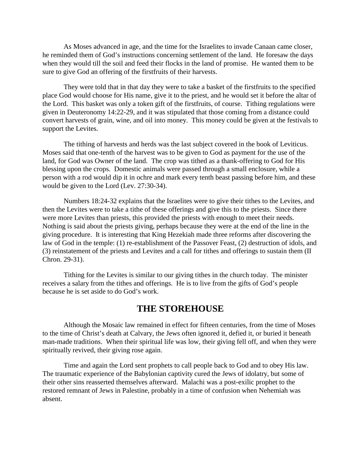As Moses advanced in age, and the time for the Israelites to invade Canaan came closer, he reminded them of God's instructions concerning settlement of the land. He foresaw the days when they would till the soil and feed their flocks in the land of promise. He wanted them to be sure to give God an offering of the firstfruits of their harvests.

They were told that in that day they were to take a basket of the firstfruits to the specified place God would choose for His name, give it to the priest, and he would set it before the altar of the Lord. This basket was only a token gift of the firstfruits, of course. Tithing regulations were given in Deuteronomy 14:22-29, and it was stipulated that those coming from a distance could convert harvests of grain, wine, and oil into money. This money could be given at the festivals to support the Levites.

The tithing of harvests and herds was the last subject covered in the book of Leviticus. Moses said that one-tenth of the harvest was to be given to God as payment for the use of the land, for God was Owner of the land. The crop was tithed as a thank-offering to God for His blessing upon the crops. Domestic animals were passed through a small enclosure, while a person with a rod would dip it in ochre and mark every tenth beast passing before him, and these would be given to the Lord (Lev. 27:30-34).

Numbers 18:24-32 explains that the Israelites were to give their tithes to the Levites, and then the Levites were to take a tithe of these offerings and give this to the priests. Since there were more Levites than priests, this provided the priests with enough to meet their needs. Nothing is said about the priests giving, perhaps because they were at the end of the line in the giving procedure. It is interesting that King Hezekiah made three reforms after discovering the law of God in the temple: (1) re-establishment of the Passover Feast, (2) destruction of idols, and (3) reinstatement of the priests and Levites and a call for tithes and offerings to sustain them (II Chron. 29-31).

Tithing for the Levites is similar to our giving tithes in the church today. The minister receives a salary from the tithes and offerings. He is to live from the gifts of God's people because he is set aside to do God's work.

### **THE STOREHOUSE**

Although the Mosaic law remained in effect for fifteen centuries, from the time of Moses to the time of Christ's death at Calvary, the Jews often ignored it, defied it, or buried it beneath man-made traditions. When their spiritual life was low, their giving fell off, and when they were spiritually revived, their giving rose again.

Time and again the Lord sent prophets to call people back to God and to obey His law. The traumatic experience of the Babylonian captivity cured the Jews of idolatry, but some of their other sins reasserted themselves afterward. Malachi was a post-exilic prophet to the restored remnant of Jews in Palestine, probably in a time of confusion when Nehemiah was absent.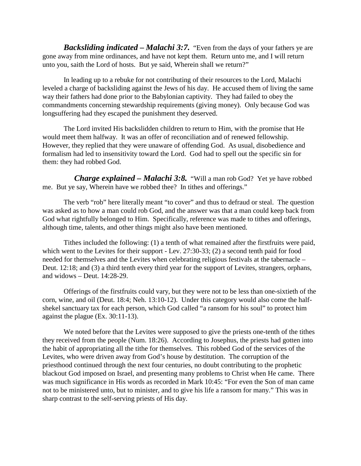*Backsliding indicated – Malachi 3:7.* "Even from the days of your fathers ye are gone away from mine ordinances, and have not kept them. Return unto me, and I will return unto you, saith the Lord of hosts. But ye said, Wherein shall we return?"

In leading up to a rebuke for not contributing of their resources to the Lord, Malachi leveled a charge of backsliding against the Jews of his day. He accused them of living the same way their fathers had done prior to the Babylonian captivity. They had failed to obey the commandments concerning stewardship requirements (giving money). Only because God was longsuffering had they escaped the punishment they deserved.

The Lord invited His backslidden children to return to Him, with the promise that He would meet them halfway. It was an offer of reconciliation and of renewed fellowship. However, they replied that they were unaware of offending God. As usual, disobedience and formalism had led to insensitivity toward the Lord. God had to spell out the specific sin for them: they had robbed God.

*<i>Charge explained – Malachi 3:8.* "Will a man rob God? Yet ye have robbed me. But ye say, Wherein have we robbed thee? In tithes and offerings."

The verb "rob" here literally meant "to cover" and thus to defraud or steal. The question was asked as to how a man could rob God, and the answer was that a man could keep back from God what rightfully belonged to Him. Specifically, reference was made to tithes and offerings, although time, talents, and other things might also have been mentioned.

Tithes included the following: (1) a tenth of what remained after the firstfruits were paid, which went to the Levites for their support - Lev. 27:30-33; (2) a second tenth paid for food needed for themselves and the Levites when celebrating religious festivals at the tabernacle – Deut. 12:18; and (3) a third tenth every third year for the support of Levites, strangers, orphans, and widows – Deut. 14:28-29.

Offerings of the firstfruits could vary, but they were not to be less than one-sixtieth of the corn, wine, and oil (Deut. 18:4; Neh. 13:10-12). Under this category would also come the halfshekel sanctuary tax for each person, which God called "a ransom for his soul" to protect him against the plague (Ex. 30:11-13).

We noted before that the Levites were supposed to give the priests one-tenth of the tithes they received from the people (Num. 18:26). According to Josephus, the priests had gotten into the habit of appropriating all the tithe for themselves. This robbed God of the services of the Levites, who were driven away from God's house by destitution. The corruption of the priesthood continued through the next four centuries, no doubt contributing to the prophetic blackout God imposed on Israel, and presenting many problems to Christ when He came. There was much significance in His words as recorded in Mark 10:45: "For even the Son of man came not to be ministered unto, but to minister, and to give his life a ransom for many." This was in sharp contrast to the self-serving priests of His day.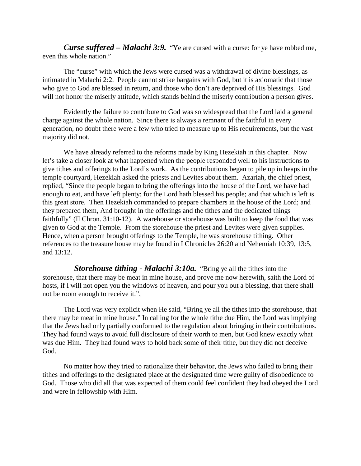*Curse suffered – Malachi 3:9.* "Ye are cursed with a curse: for ye have robbed me, even this whole nation."

The "curse" with which the Jews were cursed was a withdrawal of divine blessings, as intimated in Malachi 2:2. People cannot strike bargains with God, but it is axiomatic that those who give to God are blessed in return, and those who don't are deprived of His blessings. God will not honor the miserly attitude, which stands behind the miserly contribution a person gives.

Evidently the failure to contribute to God was so widespread that the Lord laid a general charge against the whole nation. Since there is always a remnant of the faithful in every generation, no doubt there were a few who tried to measure up to His requirements, but the vast majority did not.

We have already referred to the reforms made by King Hezekiah in this chapter. Now let's take a closer look at what happened when the people responded well to his instructions to give tithes and offerings to the Lord's work. As the contributions began to pile up in heaps in the temple courtyard, Hezekiah asked the priests and Levites about them. Azariah, the chief priest, replied, "Since the people began to bring the offerings into the house of the Lord, we have had enough to eat, and have left plenty: for the Lord hath blessed his people; and that which is left is this great store. Then Hezekiah commanded to prepare chambers in the house of the Lord; and they prepared them, And brought in the offerings and the tithes and the dedicated things faithfully" (II Chron. 31:10-12). A warehouse or storehouse was built to keep the food that was given to God at the Temple. From the storehouse the priest and Levites were given supplies. Hence, when a person brought offerings to the Temple, he was storehouse tithing. Other references to the treasure house may be found in I Chronicles 26:20 and Nehemiah 10:39, 13:5, and 13:12.

*Storehouse tithing - Malachi 3:10a.* "Bring ye all the tithes into the storehouse, that there may be meat in mine house, and prove me now herewith, saith the Lord of hosts, if I will not open you the windows of heaven, and pour you out a blessing, that there shall not be room enough to receive it.",

The Lord was very explicit when He said, "Bring ye all the tithes into the storehouse, that there may be meat in mine house." In calling for the whole tithe due Him, the Lord was implying that the Jews had only partially conformed to the regulation about bringing in their contributions. They had found ways to avoid full disclosure of their worth to men, but God knew exactly what was due Him. They had found ways to hold back some of their tithe, but they did not deceive God.

No matter how they tried to rationalize their behavior, the Jews who failed to bring their tithes and offerings to the designated place at the designated time were guilty of disobedience to God. Those who did all that was expected of them could feel confident they had obeyed the Lord and were in fellowship with Him.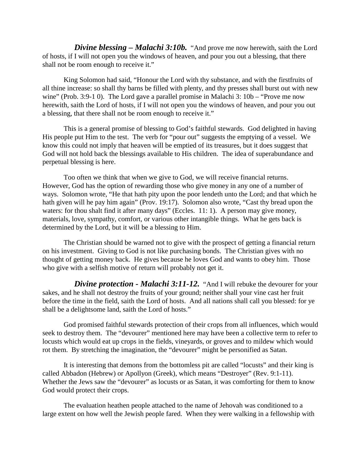*Divine blessing – Malachi 3:10b.* "And prove me now herewith, saith the Lord of hosts, if I will not open you the windows of heaven, and pour you out a blessing, that there shall not be room enough to receive it."

King Solomon had said, "Honour the Lord with thy substance, and with the firstfruits of all thine increase: so shall thy barns be filled with plenty, and thy presses shall burst out with new wine" (Prob. 3:9-1 0). The Lord gave a parallel promise in Malachi 3:  $10b -$  "Prove me now herewith, saith the Lord of hosts, if I will not open you the windows of heaven, and pour you out a blessing, that there shall not be room enough to receive it."

This is a general promise of blessing to God's faithful stewards. God delighted in having His people put Him to the test. The verb for "pour out" suggests the emptying of a vessel. We know this could not imply that heaven will be emptied of its treasures, but it does suggest that God will not hold back the blessings available to His children. The idea of superabundance and perpetual blessing is here.

Too often we think that when we give to God, we will receive financial returns. However, God has the option of rewarding those who give money in any one of a number of ways. Solomon wrote, "He that hath pity upon the poor lendeth unto the Lord; and that which he hath given will he pay him again" (Prov. 19:17). Solomon also wrote, "Cast thy bread upon the waters: for thou shalt find it after many days" (Eccles. 11: 1). A person may give money, materials, love, sympathy, comfort, or various other intangible things. What he gets back is determined by the Lord, but it will be a blessing to Him.

The Christian should be warned not to give with the prospect of getting a financial return on his investment. Giving to God is not like purchasing bonds. The Christian gives with no thought of getting money back. He gives because he loves God and wants to obey him. Those who give with a selfish motive of return will probably not get it.

*Divine protection - Malachi 3:11-12.* "And I will rebuke the devourer for your sakes, and he shall not destroy the fruits of your ground; neither shall your vine cast her fruit before the time in the field, saith the Lord of hosts. And all nations shall call you blessed: for ye shall be a delightsome land, saith the Lord of hosts."

God promised faithful stewards protection of their crops from all influences, which would seek to destroy them. The "devourer" mentioned here may have been a collective term to refer to locusts which would eat up crops in the fields, vineyards, or groves and to mildew which would rot them. By stretching the imagination, the "devourer" might be personified as Satan.

It is interesting that demons from the bottomless pit are called "locusts" and their king is called Abbadon (Hebrew) or Apollyon (Greek), which means "Destroyer" (Rev. 9:1-11). Whether the Jews saw the "devourer" as locusts or as Satan, it was comforting for them to know God would protect their crops.

The evaluation heathen people attached to the name of Jehovah was conditioned to a large extent on how well the Jewish people fared. When they were walking in a fellowship with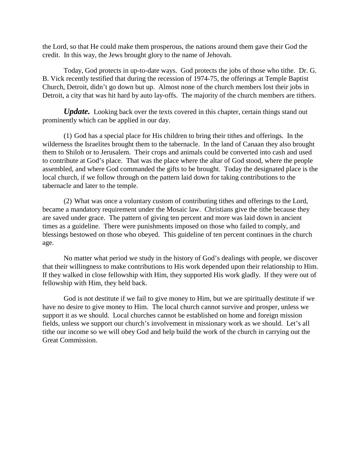the Lord, so that He could make them prosperous, the nations around them gave their God the credit. In this way, the Jews brought glory to the name of Jehovah.

Today, God protects in up-to-date ways. God protects the jobs of those who tithe. Dr. G. B. Vick recently testified that during the recession of 1974-75, the offerings at Temple Baptist Church, Detroit, didn't go down but up. Almost none of the church members lost their jobs in Detroit, a city that was hit hard by auto lay-offs. The majority of the church members are tithers.

*Update.* Looking back over the texts covered in this chapter, certain things stand out prominently which can be applied in our day.

(1) God has a special place for His children to bring their tithes and offerings. In the wilderness the Israelites brought them to the tabernacle. In the land of Canaan they also brought them to Shiloh or to Jerusalem. Their crops and animals could be converted into cash and used to contribute at God's place. That was the place where the altar of God stood, where the people assembled, and where God commanded the gifts to be brought. Today the designated place is the local church, if we follow through on the pattern laid down for taking contributions to the tabernacle and later to the temple.

(2) What was once a voluntary custom of contributing tithes and offerings to the Lord, became a mandatory requirement under the Mosaic law. Christians give the tithe because they are saved under grace. The pattern of giving ten percent and more was laid down in ancient times as a guideline. There were punishments imposed on those who failed to comply, and blessings bestowed on those who obeyed. This guideline of ten percent continues in the church age.

No matter what period we study in the history of God's dealings with people, we discover that their willingness to make contributions to His work depended upon their relationship to Him. If they walked in close fellowship with Him, they supported His work gladly. If they were out of fellowship with Him, they held back.

God is not destitute if we fail to give money to Him, but we are spiritually destitute if we have no desire to give money to Him. The local church cannot survive and prosper, unless we support it as we should. Local churches cannot be established on home and foreign mission fields, unless we support our church's involvement in missionary work as we should. Let's all tithe our income so we will obey God and help build the work of the church in carrying out the Great Commission.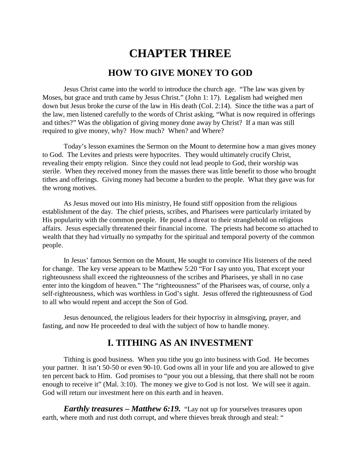# **CHAPTER THREE HOW TO GIVE MONEY TO GOD**

Jesus Christ came into the world to introduce the church age. "The law was given by Moses, but grace and truth came by Jesus Christ." (John 1: 17). Legalism had weighed men down but Jesus broke the curse of the law in His death (Col. 2:14). Since the tithe was a part of the law, men listened carefully to the words of Christ asking, "What is now required in offerings and tithes?" Was the obligation of giving money done away by Christ? If a man was still required to give money, why? How much? When? and Where?

Today's lesson examines the Sermon on the Mount to determine how a man gives money to God. The Levites and priests were hypocrites. They would ultimately crucify Christ, revealing their empty religion. Since they could not lead people to God, their worship was sterile. When they received money from the masses there was little benefit to those who brought tithes and offerings. Giving money had become a burden to the people. What they gave was for the wrong motives.

As Jesus moved out into His ministry, He found stiff opposition from the religious establishment of the day. The chief priests, scribes, and Pharisees were particularly irritated by His popularity with the common people. He posed a threat to their stranglehold on religious affairs. Jesus especially threatened their financial income. The priests had become so attached to wealth that they had virtually no sympathy for the spiritual and temporal poverty of the common people.

In Jesus' famous Sermon on the Mount, He sought to convince His listeners of the need for change. The key verse appears to be Matthew 5:20 "For I say unto you, That except your righteousness shall exceed the righteousness of the scribes and Pharisees, ye shall in no case enter into the kingdom of heaven." The "righteousness" of the Pharisees was, of course, only a self-righteousness, which was worthless in God's sight. Jesus offered the righteousness of God to all who would repent and accept the Son of God.

Jesus denounced, the religious leaders for their hypocrisy in almsgiving, prayer, and fasting, and now He proceeded to deal with the subject of how to handle money.

# **I. TITHING AS AN INVESTMENT**

Tithing is good business. When you tithe you go into business with God. He becomes your partner. It isn't 50-50 or even 90-10. God owns all in your life and you are allowed to give ten percent back to Him. God promises to "pour you out a blessing, that there shall not be room enough to receive it" (Mal. 3:10). The money we give to God is not lost. We will see it again. God will return our investment here on this earth and in heaven.

*Earthly treasures – Matthew 6:19.* "Lay not up for yourselves treasures upon earth, where moth and rust doth corrupt, and where thieves break through and steal: "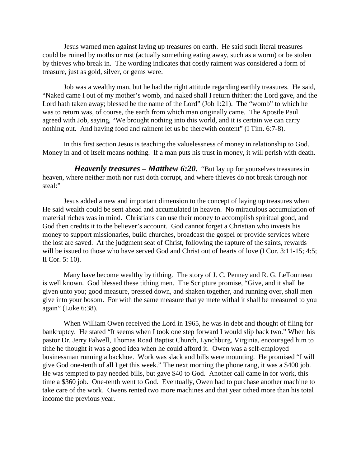Jesus warned men against laying up treasures on earth. He said such literal treasures could be ruined by moths or rust (actually something eating away, such as a worm) or be stolen by thieves who break in. The wording indicates that costly raiment was considered a form of treasure, just as gold, silver, or gems were.

Job was a wealthy man, but he had the right attitude regarding earthly treasures. He said, "Naked came I out of my mother's womb, and naked shall I return thither: the Lord gave, and the Lord hath taken away; blessed be the name of the Lord" (Job 1:21). The "womb" to which he was to return was, of course, the earth from which man originally came. The Apostle Paul agreed with Job, saying, "We brought nothing into this world, and it is certain we can carry nothing out. And having food and raiment let us be therewith content" (I Tim. 6:7-8).

In this first section Jesus is teaching the valuelessness of money in relationship to God. Money in and of itself means nothing. If a man puts his trust in money, it will perish with death.

*Heavenly treasures – Matthew 6:20.* "But lay up for yourselves treasures in heaven, where neither moth nor rust doth corrupt, and where thieves do not break through nor steal:"

Jesus added a new and important dimension to the concept of laying up treasures when He said wealth could be sent ahead and accumulated in heaven. No miraculous accumulation of material riches was in mind. Christians can use their money to accomplish spiritual good, and God then credits it to the believer's account. God cannot forget a Christian who invests his money to support missionaries, build churches, broadcast the gospel or provide services where the lost are saved. At the judgment seat of Christ, following the rapture of the saints, rewards will be issued to those who have served God and Christ out of hearts of love (I Cor. 3:11-15; 4:5; II Cor. 5: 10).

Many have become wealthy by tithing. The story of J. C. Penney and R. G. LeToumeau is well known. God blessed these tithing men. The Scripture promise, "Give, and it shall be given unto you; good measure, pressed down, and shaken together, and running over, shall men give into your bosom. For with the same measure that ye mete withal it shall be measured to you again" (Luke 6:38).

When William Owen received the Lord in 1965, he was in debt and thought of filing for bankruptcy. He stated "It seems when I took one step forward I would slip back two." When his pastor Dr. Jerry Falwell, Thomas Road Baptist Church, Lynchburg, Virginia, encouraged him to tithe he thought it was a good idea when he could afford it. Owen was a self-employed businessman running a backhoe. Work was slack and bills were mounting. He promised "I will give God one-tenth of all I get this week." The next morning the phone rang, it was a \$400 job. He was tempted to pay needed bills, but gave \$40 to God. Another call came in for work, this time a \$360 job. One-tenth went to God. Eventually, Owen had to purchase another machine to take care of the work. Owens rented two more machines and that year tithed more than his total income the previous year.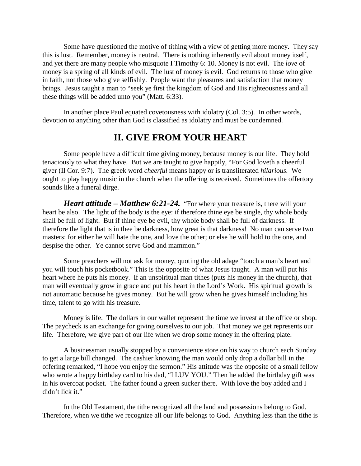Some have questioned the motive of tithing with a view of getting more money. They say this is lust. Remember, money is neutral. There is nothing inherently evil about money itself, and yet there are many people who misquote I Timothy 6: 10. Money is not evil. The *love* of money is a spring of all kinds of evil. The lust of money is evil. God returns to those who give in faith, not those who give selfishly. People want the pleasures and satisfaction that money brings. Jesus taught a man to "seek ye first the kingdom of God and His righteousness and all these things will be added unto you" (Matt. 6:33).

In another place Paul equated covetousness with idolatry (Col. 3:5). In other words, devotion to anything other than God is classified as idolatry and must be condemned.

## **II. GIVE FROM YOUR HEART**

Some people have a difficult time giving money, because money is our life. They hold tenaciously to what they have. But we are taught to give happily, "For God loveth a cheerful giver (II Cor. 9:7). The greek word *cheerful* means happy or is transliterated *hilarious.* We ought to play happy music in the church when the offering is received. Sometimes the offertory sounds like a funeral dirge.

*Heart attitude – Matthew 6:21-24.* "For where your treasure is, there will your heart be also. The light of the body is the eye: if therefore thine eye be single, thy whole body shall be full of light. But if thine eye be evil, thy whole body shall be full of darkness. If therefore the light that is in thee be darkness, how great is that darkness! No man can serve two masters: for either he will hate the one, and love the other; or else he will hold to the one, and despise the other. Ye cannot serve God and mammon."

Some preachers will not ask for money, quoting the old adage "touch a man's heart and you will touch his pocketbook." This is the opposite of what Jesus taught. A man will put his heart where he puts his money. If an unspiritual man tithes (puts his money in the church), that man will eventually grow in grace and put his heart in the Lord's Work. His spiritual growth is not automatic because he gives money. But he will grow when he gives himself including his time, talent to go with his treasure.

Money is life. The dollars in our wallet represent the time we invest at the office or shop. The paycheck is an exchange for giving ourselves to our job. That money we get represents our life. Therefore, we give part of our life when we drop some money in the offering plate.

A businessman usually stopped by a convenience store on his way to church each Sunday to get a large bill changed. The cashier knowing the man would only drop a dollar bill in the offering remarked, "I hope you enjoy the sermon." His attitude was the opposite of a small fellow who wrote a happy birthday card to his dad, "I LUV YOU." Then he added the birthday gift was in his overcoat pocket. The father found a green sucker there. With love the boy added and I didn't lick it."

In the Old Testament, the tithe recognized all the land and possessions belong to God. Therefore, when we tithe we recognize all our life belongs to God. Anything less than the tithe is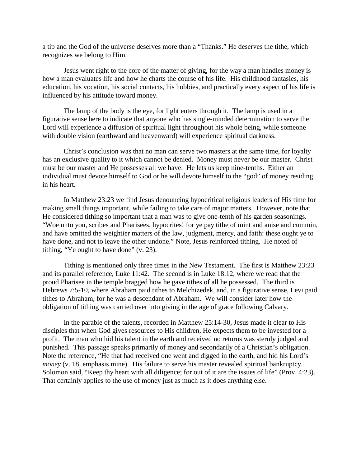a tip and the God of the universe deserves more than a "Thanks." He deserves the tithe, which recognizes we belong to Him.

Jesus went right to the core of the matter of giving, for the way a man handles money is how a man evaluates life and how he charts the course of his life. His childhood fantasies, his education, his vocation, his social contacts, his hobbies, and practically every aspect of his life is influenced by his attitude toward money.

The lamp of the body is the eye, for light enters through it. The lamp is used in a figurative sense here to indicate that anyone who has single-minded determination to serve the Lord will experience a diffusion of spiritual light throughout his whole being, while someone with double vision (earthward and heavenward) will experience spiritual darkness.

Christ's conclusion was that no man can serve two masters at the same time, for loyalty has an exclusive quality to it which cannot be denied. Money must never be our master. Christ must be our master and He possesses all we have. He lets us keep nine-tenths. Either an individual must devote himself to God or he will devote himself to the "god" of money residing in his heart.

In Matthew 23:23 we find Jesus denouncing hypocritical religious leaders of His time for making small things important, while failing to take care of major matters. However, note that He considered tithing so important that a man was to give one-tenth of his garden seasonings. "Woe unto you, scribes and Pharisees, hypocrites! for ye pay tithe of mint and anise and cummin, and have omitted the weightier matters of the law, judgment, mercy, and faith: these ought ye to have done, and not to leave the other undone." Note, Jesus reinforced tithing. He noted of tithing, "Ye ought to have done" (v. 23).

Tithing is mentioned only three times in the New Testament. The first is Matthew 23:23 and its parallel reference, Luke 11:42. The second is in Luke 18:12, where we read that the proud Pharisee in the temple bragged how he gave tithes of all he possessed. The third is Hebrews 7:5-10, where Abraham paid tithes to Melchizedek, and, in a figurative sense, Levi paid tithes to Abraham, for he was a descendant of Abraham. We will consider later how the obligation of tithing was carried over into giving in the age of grace following Calvary.

In the parable of the talents, recorded in Matthew 25:14-30, Jesus made it clear to His disciples that when God gives resources to His children, He expects them to be invested for a profit. The man who hid his talent in the earth and received no returns was sternly judged and punished. This passage speaks primarily of money and secondarily of a Christian's obligation. Note the reference, "He that had received one went and digged in the earth, and hid his Lord's *money* (v. 18, emphasis mine). His failure to serve his master revealed spiritual bankruptcy. Solomon said, "Keep thy heart with all diligence; for out of it are the issues of life" (Prov. 4:23). That certainly applies to the use of money just as much as it does anything else.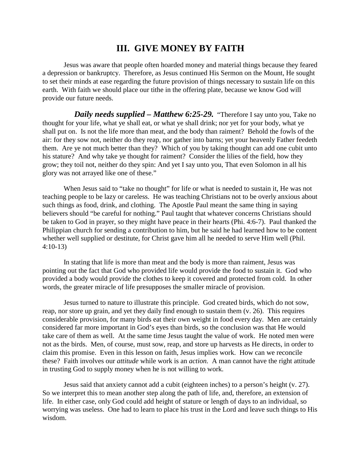# **III. GIVE MONEY BY FAITH**

Jesus was aware that people often hoarded money and material things because they feared a depression or bankruptcy. Therefore, as Jesus continued His Sermon on the Mount, He sought to set their minds at ease regarding the future provision of things necessary to sustain life on this earth. With faith we should place our tithe in the offering plate, because we know God will provide our future needs.

*Daily needs supplied – Matthew 6:25-29.* "Therefore I say unto you, Take no thought for your life, what ye shall eat, or what ye shall drink; nor yet for your body, what ye shall put on. Is not the life more than meat, and the body than raiment? Behold the fowls of the air: for they sow not, neither do they reap, nor gather into barns; yet your heavenly Father feedeth them. Are ye not much better than they? Which of you by taking thought can add one cubit unto his stature? And why take ye thought for raiment? Consider the lilies of the field, how they grow; they toil not, neither do they spin: And yet I say unto you, That even Solomon in all his glory was not arrayed like one of these."

When Jesus said to "take no thought" for life or what is needed to sustain it, He was not teaching people to be lazy or careless. He was teaching Christians not to be overly anxious about such things as food, drink, and clothing. The Apostle Paul meant the same thing in saying believers should "be careful for nothing." Paul taught that whatever concerns Christians should be taken to God in prayer, so they might have peace in their hearts (Phi. 4:6-7). Paul thanked the Philippian church for sending a contribution to him, but he said he had learned how to be content whether well supplied or destitute, for Christ gave him all he needed to serve Him well (Phil. 4:10-13)

In stating that life is more than meat and the body is more than raiment, Jesus was pointing out the fact that God who provided life would provide the food to sustain it. God who provided a body would provide the clothes to keep it covered and protected from cold. In other words, the greater miracle of life presupposes the smaller miracle of provision.

Jesus turned to nature to illustrate this principle. God created birds, which do not sow, reap, nor store up grain, and yet they daily find enough to sustain them (v. 26). This requires considerable provision, for many birds eat their own weight in food every day. Men are certainly considered far more important in God's eyes than birds, so the conclusion was that He would take care of them as well. At the same time Jesus taught the value of work. He noted men were not as the birds. Men, of course, must sow, reap, and store up harvests as He directs, in order to claim this promise. Even in this lesson on faith, Jesus implies work. How can we reconcile these? Faith involves our *attitude* while work is an *action.* A man cannot have the right attitude in trusting God to supply money when he is not willing to work.

Jesus said that anxiety cannot add a cubit (eighteen inches) to a person's height (v. 27). So we interpret this to mean another step along the path of life, and, therefore, an extension of life. In either case, only God could add height of stature or length of days to an individual, so worrying was useless. One had to learn to place his trust in the Lord and leave such things to His wisdom.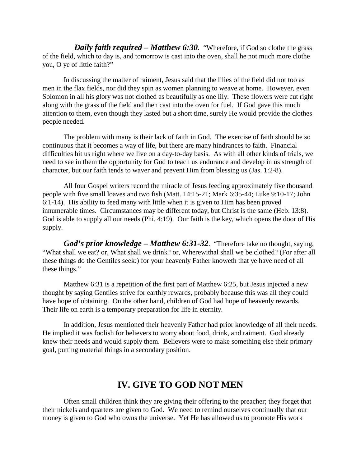*Daily faith required – Matthew 6:30.* "Wherefore, if God so clothe the grass of the field, which to day is, and tomorrow is cast into the oven, shall he not much more clothe you, O ye of little faith?"

In discussing the matter of raiment, Jesus said that the lilies of the field did not too as men in the flax fields, nor did they spin as women planning to weave at home. However, even Solomon in all his glory was not clothed as beautifully as one lily. These flowers were cut right along with the grass of the field and then cast into the oven for fuel. If God gave this much attention to them, even though they lasted but a short time, surely He would provide the clothes people needed.

The problem with many is their lack of faith in God. The exercise of faith should be so continuous that it becomes a way of life, but there are many hindrances to faith. Financial difficulties hit us right where we live on a day-to-day basis. As with all other kinds of trials, we need to see in them the opportunity for God to teach us endurance and develop in us strength of character, but our faith tends to waver and prevent Him from blessing us (Jas. 1:2-8).

All four Gospel writers record the miracle of Jesus feeding approximately five thousand people with five small loaves and two fish (Matt. 14:15-21; Mark 6:35-44; Luke 9:10-17; John 6:1-14). His ability to feed many with little when it is given to Him has been proved innumerable times. Circumstances may be different today, but Christ is the same (Heb. 13:8). God is able to supply all our needs (Phi. 4:19). Our faith is the key, which opens the door of His supply.

*God's prior knowledge – Matthew 6:31-32*. "Therefore take no thought, saying, "What shall we eat? or, What shall we drink? or, Wherewithal shall we be clothed? (For after all these things do the Gentiles seek:) for your heavenly Father knoweth that ye have need of all these things."

Matthew 6:31 is a repetition of the first part of Matthew 6:25, but Jesus injected a new thought by saying Gentiles strive for earthly rewards, probably because this was all they could have hope of obtaining. On the other hand, children of God had hope of heavenly rewards. Their life on earth is a temporary preparation for life in eternity.

In addition, Jesus mentioned their heavenly Father had prior knowledge of all their needs. He implied it was foolish for believers to worry about food, drink, and raiment. God already knew their needs and would supply them. Believers were to make something else their primary goal, putting material things in a secondary position.

### **IV. GIVE TO GOD NOT MEN**

Often small children think they are giving their offering to the preacher; they forget that their nickels and quarters are given to God. We need to remind ourselves continually that our money is given to God who owns the universe. Yet He has allowed us to promote His work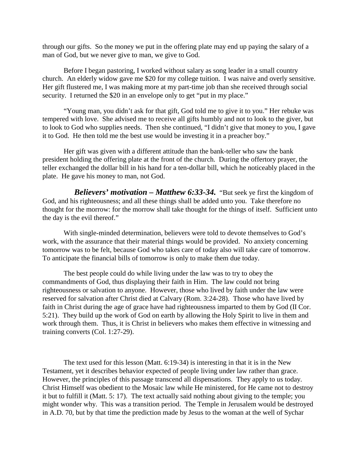through our gifts. So the money we put in the offering plate may end up paying the salary of a man of God, but we never give to man, we give to God.

Before I began pastoring, I worked without salary as song leader in a small country church. An elderly widow gave me \$20 for my college tuition. I was naive and overly sensitive. Her gift flustered me, I was making more at my part-time job than she received through social security. I returned the \$20 in an envelope only to get "put in my place."

"Young man, you didn't ask for that gift, God told me to give it to you." Her rebuke was tempered with love. She advised me to receive all gifts humbly and not to look to the giver, but to look to God who supplies needs. Then she continued, "I didn't give that money to you, I gave it to God. He then told me the best use would be investing it in a preacher boy."

Her gift was given with a different attitude than the bank-teller who saw the bank president holding the offering plate at the front of the church. During the offertory prayer, the teller exchanged the dollar bill in his hand for a ten-dollar bill, which he noticeably placed in the plate. He gave his money to man, not God.

 *Believers' motivation – Matthew 6:33-34.* "But seek ye first the kingdom of God, and his righteousness; and all these things shall be added unto you. Take therefore no thought for the morrow: for the morrow shall take thought for the things of itself. Sufficient unto the day is the evil thereof."

With single-minded determination, believers were told to devote themselves to God's work, with the assurance that their material things would be provided. No anxiety concerning tomorrow was to be felt, because God who takes care of today also will take care of tomorrow. To anticipate the financial bills of tomorrow is only to make them due today.

The best people could do while living under the law was to try to obey the commandments of God, thus displaying their faith in Him. The law could not bring righteousness or salvation to anyone. However, those who lived by faith under the law were reserved for salvation after Christ died at Calvary (Rom. 3:24-28). Those who have lived by faith in Christ during the age of grace have had righteousness imparted to them by God (II Cor. 5:21). They build up the work of God on earth by allowing the Holy Spirit to live in them and work through them. Thus, it is Christ in believers who makes them effective in witnessing and training converts (Col. 1:27-29).

The text used for this lesson (Matt. 6:19-34) is interesting in that it is in the New Testament, yet it describes behavior expected of people living under law rather than grace. However, the principles of this passage transcend all dispensations. They apply to us today. Christ Himself was obedient to the Mosaic law while He ministered, for He came not to destroy it but to fulfill it (Matt. 5: 17). The text actually said nothing about giving to the temple; you might wonder why. This was a transition period. The Temple in Jerusalem would be destroyed in A.D. 70, but by that time the prediction made by Jesus to the woman at the well of Sychar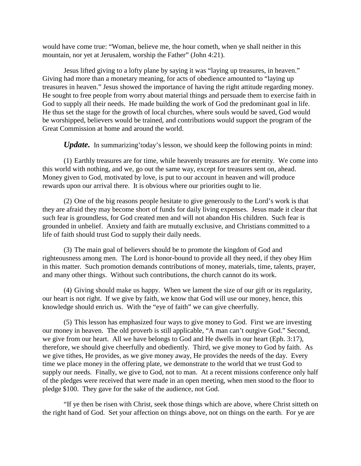would have come true: "Woman, believe me, the hour cometh, when ye shall neither in this mountain, nor yet at Jerusalem, worship the Father" (John 4:21).

Jesus lifted giving to a lofty plane by saying it was "laying up treasures, in heaven." Giving had more than a monetary meaning, for acts of obedience amounted to "laying up treasures in heaven." Jesus showed the importance of having the right attitude regarding money. He sought to free people from worry about material things and persuade them to exercise faith in God to supply all their needs. He made building the work of God the predominant goal in life. He thus set the stage for the growth of local churches, where souls would be saved, God would be worshipped, believers would be trained, and contributions would support the program of the Great Commission at home and around the world.

*Update.* In summarizing'today's lesson, we should keep the following points in mind:

(1) Earthly treasures are for time, while heavenly treasures are for eternity. We come into this world with nothing, and we, go out the same way, except for treasures sent on, ahead. Money given to God, motivated by love, is put to our account in heaven and will produce rewards upon our arrival there. It is obvious where our priorities ought to lie.

(2) One of the big reasons people hesitate to give generously to the Lord's work is that they are afraid they may become short of funds for daily living expenses. Jesus made it clear that such fear is groundless, for God created men and will not abandon His children. Such fear is grounded in unbelief. Anxiety and faith are mutually exclusive, and Christians committed to a life of faith should trust God to supply their daily needs.

(3) The main goal of believers should be to promote the kingdom of God and righteousness among men. The Lord is honor-bound to provide all they need, if they obey Him in this matter. Such promotion demands contributions of money, materials, time, talents, prayer, and many other things. Without such contributions, the church cannot do its work.

(4) Giving should make us happy. When we lament the size of our gift or its regularity, our heart is not right. If we give by faith, we know that God will use our money, hence, this knowledge should enrich us. With the "eye of faith" we can give cheerfully.

(5) This lesson has emphasized four ways to give money to God. First we are investing our money in heaven. The old proverb is still applicable, "A man can't outgive God." Second, we give from our heart. All we have belongs to God and He dwells in our heart (Eph. 3:17), therefore, we should give cheerfully and obediently. Third, we give money to God by faith. As we give tithes, He provides, as we give money away, He provides the needs of the day. Every time we place money in the offering plate, we demonstrate to the world that we trust God to supply our needs. Finally, we give to God, not to man. At a recent missions conference only half of the pledges were received that were made in an open meeting, when men stood to the floor to pledge \$100. They gave for the sake of the audience, not God.

"If ye then be risen with Christ, seek those things which are above, where Christ sitteth on the right hand of God. Set your affection on things above, not on things on the earth. For ye are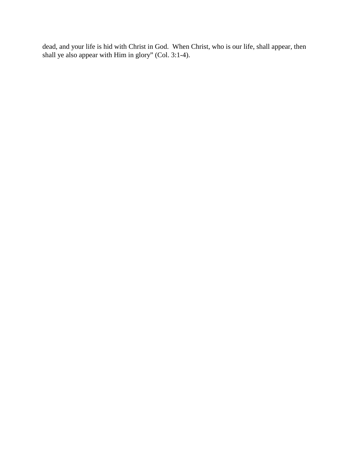dead, and your life is hid with Christ in God. When Christ, who is our life, shall appear, then shall ye also appear with Him in glory" (Col. 3:1-4).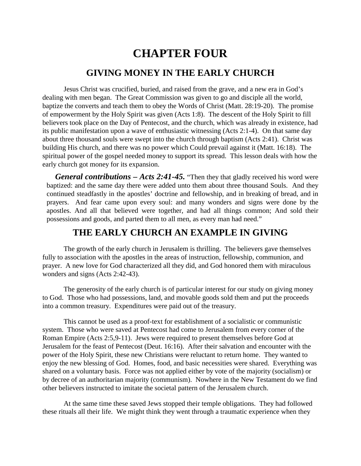# **CHAPTER FOUR**

## **GIVING MONEY IN THE EARLY CHURCH**

Jesus Christ was crucified, buried, and raised from the grave, and a new era in God's dealing with men began. The Great Commission was given to go and disciple all the world, baptize the converts and teach them to obey the Words of Christ (Matt. 28:19-20). The promise of empowerment by the Holy Spirit was given (Acts 1:8). The descent of the Holy Spirit to fill believers took place on the Day of Pentecost, and the church, which was already in existence, had its public manifestation upon a wave of enthusiastic witnessing (Acts 2:1-4). On that same day about three thousand souls were swept into the church through baptism (Acts 2:41). Christ was building His church, and there was no power which Could prevail against it (Matt. 16:18). The spiritual power of the gospel needed money to support its spread. This lesson deals with how the early church got money for its expansion.

*General contributions – Acts 2:41-45.* "Then they that gladly received his word were baptized: and the same day there were added unto them about three thousand Souls. And they continued steadfastly in the apostles' doctrine and fellowship, and in breaking of bread, and in prayers. And fear came upon every soul: and many wonders and signs were done by the apostles. And all that believed were together, and had all things common; And sold their possessions and goods, and parted them to all men, as every man had need."

# **THE EARLY CHURCH AN EXAMPLE IN GIVING**

The growth of the early church in Jerusalem is thrilling. The believers gave themselves fully to association with the apostles in the areas of instruction, fellowship, communion, and prayer. A new love for God characterized all they did, and God honored them with miraculous wonders and signs (Acts 2:42-43).

The generosity of the early church is of particular interest for our study on giving money to God. Those who had possessions, land, and movable goods sold them and put the proceeds into a common treasury. Expenditures were paid out of the treasury.

This cannot be used as a proof-text for establishment of a socialistic or communistic system. Those who were saved at Pentecost had come to Jerusalem from every corner of the Roman Empire (Acts 2:5,9-11). Jews were required to present themselves before God at Jerusalem for the feast of Pentecost (Deut. 16:16). After their salvation and encounter with the power of the Holy Spirit, these new Christians were reluctant to return home. They wanted to enjoy the new blessing of God. Homes, food, and basic necessities were shared. Everything was shared on a voluntary basis. Force was not applied either by vote of the majority (socialism) or by decree of an authoritarian majority (communism). Nowhere in the New Testament do we find other believers instructed to imitate the societal pattern of the Jerusalem church.

At the same time these saved Jews stopped their temple obligations. They had followed these rituals all their life. We might think they went through a traumatic experience when they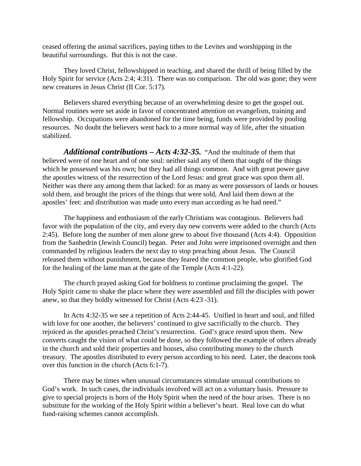ceased offering the animal sacrifices, paying tithes to the Levites and worshipping in the beautiful surroundings. But this is not the case.

They loved Christ, fellowshipped in teaching, and shared the thrill of being filled by the Holy Spirit for service (Acts 2:4; 4:31). There was no comparison. The old was gone; they were new creatures in Jesus Christ (II Cor. 5:17).

Believers shared everything because of an overwhelming desire to get the gospel out. Normal routines were set aside in favor of concentrated attention on evangelism, training and fellowship. Occupations were abandoned for the time being, funds were provided by pooling resources. No doubt the believers went back to a more normal way of life, after the situation stabilized.

*Additional contributions – Acts 4:32-35.* "And the multitude of them that believed were of one heart and of one soul: neither said any of them that ought of the things which he possessed was his own; but they had all things common. And with great power gave the apostles witness of the resurrection of the Lord Jesus: and great grace was upon them all. Neither was there any among them that lacked: for as many as were possessors of lands or houses sold them, and brought the prices of the things that were sold, And laid them down at the apostles' feet: and distribution was made unto every man according as he had need."

The happiness and enthusiasm of the early Christians was contagious. Believers had favor with the population of the city, and every day new converts were added to the church (Acts 2:45). Before long the number of men alone grew to about five thousand (Acts 4:4). Opposition from the Sanhedrin (Jewish Council) began. Peter and John were imprisoned overnight and then commanded by religious leaders the next day to stop preaching about Jesus. The Council released them without punishment, because they feared the common people, who glorified God for the healing of the lame man at the gate of the Temple (Acts 4:1-22).

The church prayed asking God for boldness to continue proclaiming the gospel. The Holy Spirit came to shake the place where they were assembled and fill the disciples with power anew, so that they boldly witnessed for Christ (Acts 4:23 -31).

In Acts 4:32-35 we see a repetition of Acts 2:44-45. Unified in heart and soul, and filled with love for one another, the believers' continued to give sacrificially to the church. They rejoiced as the apostles preached Christ's resurrection. God's grace rested upon them. New converts caught the vision of what could be done, so they followed the example of others already in the church and sold their properties and houses, also contributing money to the church treasury. The apostles distributed to every person according to his need. Later, the deacons took over this function in the church (Acts 6:1-7).

There may be times when unusual circumstances stimulate unusual contributions to God's work. In such cases, the individuals involved will act on a voluntary basis. Pressure to give to special projects is born of the Holy Spirit when the need of the hour arises. There is no substitute for the working of the Holy Spirit within a believer's heart. Real love can do what fund-raising schemes cannot accomplish.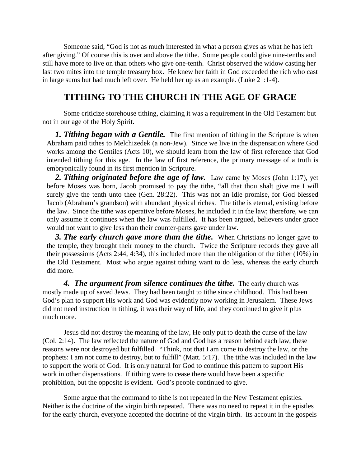Someone said, "God is not as much interested in what a person gives as what he has left after giving." Of course this is over and above the tithe. Some people could give nine-tenths and still have more to live on than others who give one-tenth. Christ observed the widow casting her last two mites into the temple treasury box. He knew her faith in God exceeded the rich who cast in large sums but had much left over. He held her up as an example. (Luke 21:1-4).

# **TITHING TO THE CHURCH IN THE AGE OF GRACE**

Some criticize storehouse tithing, claiming it was a requirement in the Old Testament but not in our age of the Holy Spirit.

**1. Tithing began with a Gentile.** The first mention of tithing in the Scripture is when Abraham paid tithes to Melchizedek (a non-Jew). Since we live in the dispensation where God works among the Gentiles (Acts 10), we should learn from the law of first reference that God intended tithing for this age. In the law of first reference, the primary message of a truth is embryonically found in its first mention in Scripture.

**2. Tithing originated before the age of law.** Law came by Moses (John 1:17), yet before Moses was born, Jacob promised to pay the tithe, "all that thou shalt give me I will surely give the tenth unto thee (Gen. 28:22). This was not an idle promise, for God blessed Jacob (Abraham's grandson) with abundant physical riches. The tithe is eternal, existing before the law. Since the tithe was operative before Moses, he included it in the law; therefore, we can only assume it continues when the law was fulfilled. It has been argued, believers under grace would not want to give less than their counter-parts gave under law.

**3. The early church gave more than the tithe.** When Christians no longer gave to the temple, they brought their money to the church. Twice the Scripture records they gave all their possessions (Acts 2:44, 4:34), this included more than the obligation of the tither (10%) in the Old Testament. Most who argue against tithing want to do less, whereas the early church did more.

**4. The argument from silence continues the tithe.** The early church was mostly made up of saved Jews. They had been taught to tithe since childhood. This had been God's plan to support His work and God was evidently now working in Jerusalem. These Jews did not need instruction in tithing, it was their way of life, and they continued to give it plus much more.

Jesus did not destroy the meaning of the law, He only put to death the curse of the law (Col. 2:14). The law reflected the nature of God and God has a reason behind each law, these reasons were not destroyed but fulfilled. "Think, not that I am come to destroy the law, or the prophets: I am not come to destroy, but to fulfill" (Matt. 5:17). The tithe was included in the law to support the work of God. It is only natural for God to continue this pattern to support His work in other dispensations. If tithing were to cease there would have been a specific prohibition, but the opposite is evident. God's people continued to give.

Some argue that the command to tithe is not repeated in the New Testament epistles. Neither is the doctrine of the virgin birth repeated. There was no need to repeat it in the epistles for the early church, everyone accepted the doctrine of the virgin birth. Its account in the gospels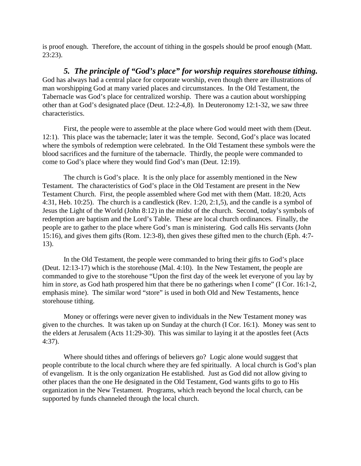is proof enough. Therefore, the account of tithing in the gospels should be proof enough (Matt. 23:23).

*5. The principle of "God's place" for worship requires storehouse tithing.*  God has always had a central place for corporate worship, even though there are illustrations of man worshipping God at many varied places and circumstances. In the Old Testament, the Tabernacle was God's place for centralized worship. There was a caution about worshipping other than at God's designated place (Deut. 12:2-4,8). In Deuteronomy 12:1-32, we saw three characteristics.

First, the people were to assemble at the place where God would meet with them (Deut. 12:1). This place was the tabernacle; later it was the temple. Second, God's place was located where the symbols of redemption were celebrated. In the Old Testament these symbols were the blood sacrifices and the furniture of the tabernacle. Thirdly, the people were commanded to come to God's place where they would find God's man (Deut. 12:19).

The church is God's place. It is the only place for assembly mentioned in the New Testament. The characteristics of God's place in the Old Testament are present in the New Testament Church. First, the people assembled where God met with them (Matt. 18:20, Acts 4:31, Heb. 10:25). The church is a candlestick (Rev. 1:20, 2:1,5), and the candle is a symbol of Jesus the Light of the World (John 8:12) in the midst of the church. Second, today's symbols of redemption are baptism and the Lord's Table. These are local church ordinances. Finally, the people are to gather to the place where God's man is ministering. God calls His servants (John 15:16), and gives them gifts (Rom. 12:3-8), then gives these gifted men to the church (Eph. 4:7- 13).

In the Old Testament, the people were commanded to bring their gifts to God's place (Deut. 12:13-17) which is the storehouse (Mal. 4:10). In the New Testament, the people are commanded to give to the storehouse "Upon the first day of the week let everyone of you lay by him in *store*, as God hath prospered him that there be no gatherings when I come" (I Cor. 16:1-2, emphasis mine). The similar word "store" is used in both Old and New Testaments, hence storehouse tithing.

Money or offerings were never given to individuals in the New Testament money was given to the churches. It was taken up on Sunday at the church (I Cor. 16:1). Money was sent to the elders at Jerusalem (Acts 11:29-30). This was similar to laying it at the apostles feet (Acts 4:37).

Where should tithes and offerings of believers go? Logic alone would suggest that people contribute to the local church where they are fed spiritually. A local church is God's plan of evangelism. It is the only organization He established. Just as God did not allow giving to other places than the one He designated in the Old Testament, God wants gifts to go to His organization in the New Testament. Programs, which reach beyond the local church, can be supported by funds channeled through the local church.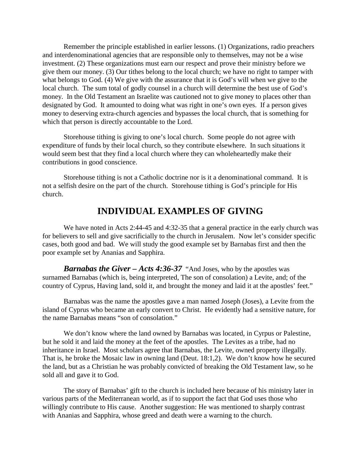Remember the principle established in earlier lessons. (1) Organizations, radio preachers and interdenominational agencies that are responsible only to themselves, may not be a wise investment. (2) These organizations must earn our respect and prove their ministry before we give them our money. (3) Our tithes belong to the local church; we have no right to tamper with what belongs to God. (4) We give with the assurance that it is God's will when we give to the local church. The sum total of godly counsel in a church will determine the best use of God's money. In the Old Testament an Israelite was cautioned not to give money to places other than designated by God. It amounted to doing what was right in one's own eyes. If a person gives money to deserving extra-church agencies and bypasses the local church, that is something for which that person is directly accountable to the Lord.

Storehouse tithing is giving to one's local church. Some people do not agree with expenditure of funds by their local church, so they contribute elsewhere. In such situations it would seem best that they find a local church where they can wholeheartedly make their contributions in good conscience.

Storehouse tithing is not a Catholic doctrine nor is it a denominational command. It is not a selfish desire on the part of the church. Storehouse tithing is God's principle for His church.

# **INDIVIDUAL EXAMPLES OF GIVING**

We have noted in Acts 2:44-45 and 4:32-35 that a general practice in the early church was for believers to sell and give sacrificially to the church in Jerusalem. Now let's consider specific cases, both good and bad. We will study the good example set by Barnabas first and then the poor example set by Ananias and Sapphira.

*Barnabas the Giver – Acts 4:36-37* "And Joses, who by the apostles was surnamed Barnabas (which is, being interpreted, The son of consolation) a Levite, and; of the country of Cyprus, Having land, sold it, and brought the money and laid it at the apostles' feet."

Barnabas was the name the apostles gave a man named Joseph (Joses), a Levite from the island of Cyprus who became an early convert to Christ. He evidently had a sensitive nature, for the name Barnabas means "son of consolation."

We don't know where the land owned by Barnabas was located, in Cyrpus or Palestine, but he sold it and laid the money at the feet of the apostles. The Levites as a tribe, had no inheritance in Israel. Most scholars agree that Barnabas, the Levite, owned property illegally. That is, he broke the Mosaic law in owning land (Deut. 18:1,2). We don't know how he secured the land, but as a Christian he was probably convicted of breaking the Old Testament law, so he sold all and gave it to God.

The story of Barnabas' gift to the church is included here because of his ministry later in various parts of the Mediterranean world, as if to support the fact that God uses those who willingly contribute to His cause. Another suggestion: He was mentioned to sharply contrast with Ananias and Sapphira, whose greed and death were a warning to the church.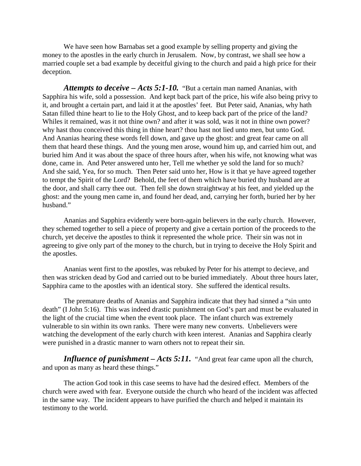We have seen how Barnabas set a good example by selling property and giving the money to the apostles in the early church in Jerusalem. Now, by contrast, we shall see how a married couple set a bad example by deceitful giving to the church and paid a high price for their deception.

*Attempts to deceive – Acts 5:1-10.* "But a certain man named Ananias, with Sapphira his wife, sold a possession. And kept back part of the price, his wife also being privy to it, and brought a certain part, and laid it at the apostles' feet. But Peter said, Ananias, why hath Satan filled thine heart to lie to the Holy Ghost, and to keep back part of the price of the land? Whiles it remained, was it not thine own? and after it was sold, was it not in thine own power? why hast thou conceived this thing in thine heart? thou hast not lied unto men, but unto God. And Ananias hearing these words fell down, and gave up the ghost: and great fear came on all them that heard these things. And the young men arose, wound him up, and carried him out, and buried him And it was about the space of three hours after, when his wife, not knowing what was done, came in. And Peter answered unto her, Tell me whether ye sold the land for so much? And she said, Yea, for so much. Then Peter said unto her, How is it that ye have agreed together to tempt the Spirit of the Lord? Behold, the feet of them which have buried thy husband are at the door, and shall carry thee out. Then fell she down straightway at his feet, and yielded up the ghost: and the young men came in, and found her dead, and, carrying her forth, buried her by her husband."

Ananias and Sapphira evidently were born-again believers in the early church. However, they schemed together to sell a piece of property and give a certain portion of the proceeds to the church, yet deceive the apostles to think it represented the whole price. Their sin was not in agreeing to give only part of the money to the church, but in trying to deceive the Holy Spirit and the apostles.

Ananias went first to the apostles, was rebuked by Peter for his attempt to decieve, and then was stricken dead by God and carried out to be buried immediately. About three hours later, Sapphira came to the apostles with an identical story. She suffered the identical results.

The premature deaths of Ananias and Sapphira indicate that they had sinned a "sin unto death" (I John 5:16). This was indeed drastic punishment on God's part and must be evaluated in the light of the crucial time when the event took place. The infant church was extremely vulnerable to sin within its own ranks. There were many new converts. Unbelievers were watching the development of the early church with keen interest. Ananias and Sapphira clearly were punished in a drastic manner to warn others not to repeat their sin.

*Influence of punishment – Acts 5:11.* "And great fear came upon all the church, and upon as many as heard these things."

The action God took in this case seems to have had the desired effect. Members of the church were awed with fear. Everyone outside the church who heard of the incident was affected in the same way. The incident appears to have purified the church and helped it maintain its testimony to the world.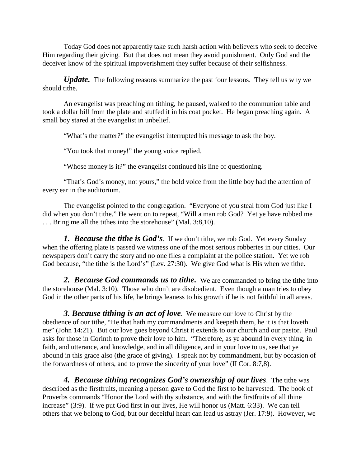Today God does not apparently take such harsh action with believers who seek to deceive Him regarding their giving. But that does not mean they avoid punishment. Only God and the deceiver know of the spiritual impoverishment they suffer because of their selfishness.

*Update*. The following reasons summarize the past four lessons. They tell us why we should tithe.

An evangelist was preaching on tithing, he paused, walked to the communion table and took a dollar bill from the plate and stuffed it in his coat pocket. He began preaching again. A small boy stared at the evangelist in unbelief.

"What's the matter?" the evangelist interrupted his message to ask the boy.

"You took that money!" the young voice replied.

"Whose money is it?" the evangelist continued his line of questioning.

"That's God's money, not yours," the bold voice from the little boy had the attention of every ear in the auditorium.

The evangelist pointed to the congregation. "Everyone of you steal from God just like I did when you don't tithe." He went on to repeat, "Will a man rob God? Yet ye have robbed me . . . Bring me all the tithes into the storehouse" (Mal. 3:8,10).

*1. Because the tithe is God's*. If we don't tithe, we rob God. Yet every Sunday when the offering plate is passed we witness one of the most serious robberies in our cities. Our newspapers don't carry the story and no one files a complaint at the police station. Yet we rob God because, "the tithe is the Lord's" (Lev. 27:30). We give God what is His when we tithe.

2. Because God commands us to tithe. We are commanded to bring the tithe into the storehouse (Mal. 3:10). Those who don't are disobedient. Even though a man tries to obey God in the other parts of his life, he brings leaness to his growth if he is not faithful in all areas.

*3. Because tithing is an act of love*. We measure our love to Christ by the obedience of our tithe, "He that hath my commandments and keepeth them, he it is that loveth me" (John 14:21). But our love goes beyond Christ it extends to our church and our pastor. Paul asks for those in Corinth to prove their love to him. "Therefore, as ye abound in every thing, in faith, and utterance, and knowledge, and in all diligence, and in your love to us, see that ye abound in this grace also (the grace of giving). I speak not by commandment, but by occasion of the forwardness of others, and to prove the sincerity of your love" (II Cor. 8:7,8).

*4. Because tithing recognizes God's ownership of our lives*. The tithe was described as the firstfruits, meaning a person gave to God the first to be harvested. The book of Proverbs commands "Honor the Lord with thy substance, and with the firstfruits of all thine increase" (3:9). If we put God first in our lives, He will honor us (Matt. 6:33). We can tell others that we belong to God, but our deceitful heart can lead us astray (Jer. 17:9). However, we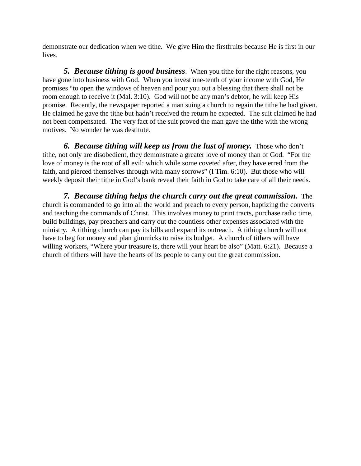demonstrate our dedication when we tithe. We give Him the firstfruits because He is first in our lives.

*5. Because tithing is good business*. When you tithe for the right reasons, you have gone into business with God. When you invest one-tenth of your income with God, He promises "to open the windows of heaven and pour you out a blessing that there shall not be room enough to receive it (Mal. 3:10). God will not be any man's debtor, he will keep His promise. Recently, the newspaper reported a man suing a church to regain the tithe he had given. He claimed he gave the tithe but hadn't received the return he expected. The suit claimed he had not been compensated. The very fact of the suit proved the man gave the tithe with the wrong motives. No wonder he was destitute.

*6. Because tithing will keep us from the lust of money.* Those who don't tithe, not only are disobedient, they demonstrate a greater love of money than of God. "For the love of money is the root of all evil: which while some coveted after, they have erred from the faith, and pierced themselves through with many sorrows" (I Tim. 6:10). But those who will weekly deposit their tithe in God's bank reveal their faith in God to take care of all their needs.

*7. Because tithing helps the church carry out the great commission.* The church is commanded to go into all the world and preach to every person, baptizing the converts and teaching the commands of Christ. This involves money to print tracts, purchase radio time, build buildings, pay preachers and carry out the countless other expenses associated with the ministry. A tithing church can pay its bills and expand its outreach. A tithing church will not have to beg for money and plan gimmicks to raise its budget. A church of tithers will have willing workers, "Where your treasure is, there will your heart be also" (Matt. 6:21). Because a church of tithers will have the hearts of its people to carry out the great commission.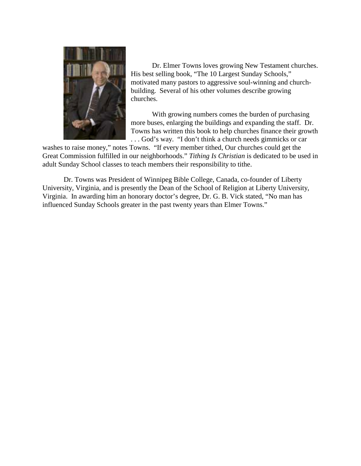

Dr. Elmer Towns loves growing New Testament churches. His best selling book, "The 10 Largest Sunday Schools," motivated many pastors to aggressive soul-winning and churchbuilding. Several of his other volumes describe growing churches.

With growing numbers comes the burden of purchasing more buses, enlarging the buildings and expanding the staff. Dr. Towns has written this book to help churches finance their growth . . . God's way. "I don't think a church needs gimmicks or car

washes to raise money," notes Towns. "If every member tithed, Our churches could get the Great Commission fulfilled in our neighborhoods." *Tithing Is Christian* is dedicated to be used in adult Sunday School classes to teach members their responsibility to tithe.

Dr. Towns was President of Winnipeg Bible College, Canada, co-founder of Liberty University, Virginia, and is presently the Dean of the School of Religion at Liberty University, Virginia. In awarding him an honorary doctor's degree, Dr. G. B. Vick stated, "No man has influenced Sunday Schools greater in the past twenty years than Elmer Towns."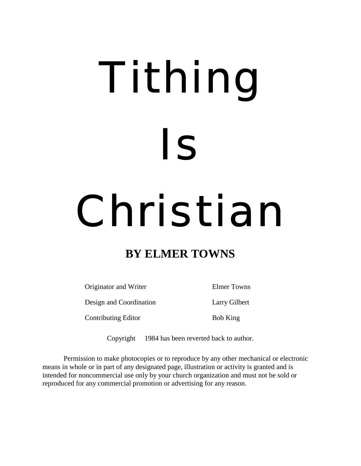# Tithing Is Christian

# **BY ELMER TOWNS**

Originator and Writer Elmer Towns Design and Coordination Larry Gilbert

Contributing Editor Bob King

Copyright  $\odot$  1984 has been reverted back to author.

Permission to make photocopies or to reproduce by any other mechanical or electronic means in whole or in part of any designated page, illustration or activity is granted and is intended for noncommercial use only by your church organization and must not be sold or reproduced for any commercial promotion or advertising for any reason.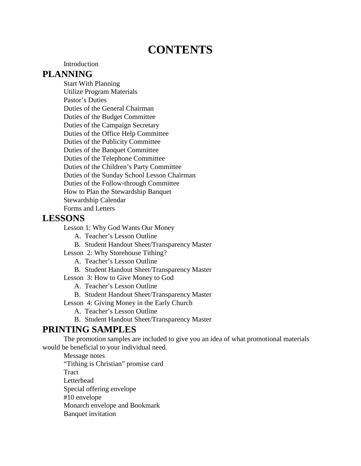# **CONTENTS**

**Introduction** 

#### **PLANNING**

Start With Planning Utilize Program Materials Pastor's Duties Duties of the General Chairman Duties of the Budget Committee Duties of the Campaign Secretary Duties of the Office Help Committee Duties of the Publicity Committee Duties of the Banquet Committee Duties of the Telephone Committee Duties of the Children's Party Committee Duties of the Sunday School Lesson Chairman Duties of the Follow-through Committee How to Plan the Stewardship Banquet Stewardship Calendar Forms and Letters

## **LESSONS**

Lesson 1: Why God Wants Our Money

- A. Teacher's Lesson Outline
- B. Student Handout Sheet/Transparency Master
- Lesson 2: Why Storehouse Tithing?
	- A. Teacher's Lesson Outline
	- B. Student Handout Sheet/Transparency Master
- Lesson 3: How to Give Money to God
	- A. Teacher's Lesson Outline
	- B. Student Handout Sheet/Transparency Master

Lesson 4: Giving Money in the Early Church

- A. Teacher's Lesson Outline
- B. Student Handout Sheet/Transparency Master

# **PRINTING SAMPLES**

The promotion samples are included to give you an idea of what promotional materials would be beneficial to your individual need.

Message notes "Tithing is Christian" promise card Tract Letterhead Special offering envelope #10 envelope Monarch envelope and Bookmark

Banquet invitation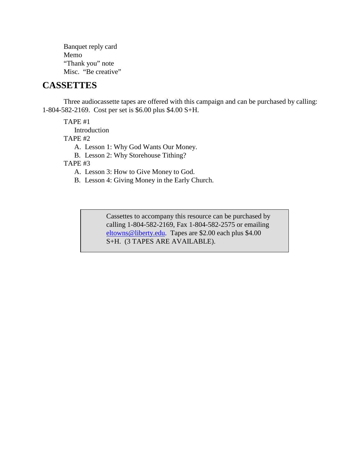Banquet reply card Memo "Thank you" note Misc. "Be creative"

# **CASSETTES**

Three audiocassette tapes are offered with this campaign and can be purchased by calling: 1-804-582-2169. Cost per set is \$6.00 plus \$4.00 S+H.

TAPE #1

Introduction

TAPE #2

A. Lesson 1: Why God Wants Our Money.

B. Lesson 2: Why Storehouse Tithing?

TAPE #3

A. Lesson 3: How to Give Money to God.

B. Lesson 4: Giving Money in the Early Church.

Cassettes to accompany this resource can be purchased by calling 1-804-582-2169, Fax 1-804-582-2575 or emailing eltowns@liberty.edu. Tapes are \$2.00 each plus \$4.00 S+H. (3 TAPES ARE AVAILABLE).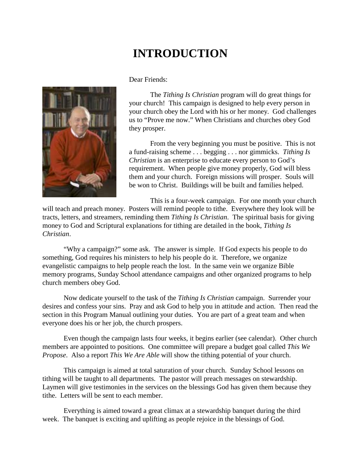# **INTRODUCTION**



Dear Friends:

The *Tithing Is Christian* program will do great things for your church! This campaign is designed to help every person in your church obey the Lord with his or her money. God challenges us to "Prove me now." When Christians and churches obey God they prosper.

From the very beginning you must be positive. This is not a fund-raising scheme . . . begging . . . nor gimmicks. *Tithing Is Christian* is an enterprise to educate every person to God's requirement. When people give money properly, God will bless them and your church. Foreign missions will prosper. Souls will be won to Christ. Buildings will be built and families helped.

This is a four-week campaign. For one month your church

will teach and preach money. Posters will remind people to tithe. Everywhere they look will be tracts, letters, and streamers, reminding them *Tithing Is Christian*. The spiritual basis for giving money to God and Scriptural explanations for tithing are detailed in the book, *Tithing Is Christian*.

"Why a campaign?" some ask. The answer is simple. If God expects his people to do something, God requires his ministers to help his people do it. Therefore, we organize evangelistic campaigns to help people reach the lost. In the same vein we organize Bible memory programs, Sunday School attendance campaigns and other organized programs to help church members obey God.

Now dedicate yourself to the task of the *Tithing Is Christian* campaign. Surrender your desires and confess your sins. Pray and ask God to help you in attitude and action. Then read the section in this Program Manual outlining your duties. You are part of a great team and when everyone does his or her job, the church prospers.

Even though the campaign lasts four weeks, it begins earlier (see calendar). Other church members are appointed to positions. One committee will prepare a budget goal called *This We Propose*. Also a report *This We Are Able* will show the tithing potential of your church.

This campaign is aimed at total saturation of your church. Sunday School lessons on tithing will be taught to all departments. The pastor will preach messages on stewardship. Laymen will give testimonies in the services on the blessings God has given them because they tithe. Letters will be sent to each member.

Everything is aimed toward a great climax at a stewardship banquet during the third week. The banquet is exciting and uplifting as people rejoice in the blessings of God.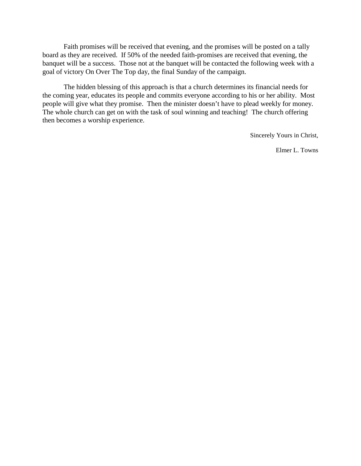Faith promises will be received that evening, and the promises will be posted on a tally board as they are received. If 50% of the needed faith-promises are received that evening, the banquet will be a success. Those not at the banquet will be contacted the following week with a goal of victory On Over The Top day, the final Sunday of the campaign.

The hidden blessing of this approach is that a church determines its financial needs for the coming year, educates its people and commits everyone according to his or her ability. Most people will give what they promise. Then the minister doesn't have to plead weekly for money. The whole church can get on with the task of soul winning and teaching! The church offering then becomes a worship experience.

Sincerely Yours in Christ,

Elmer L. Towns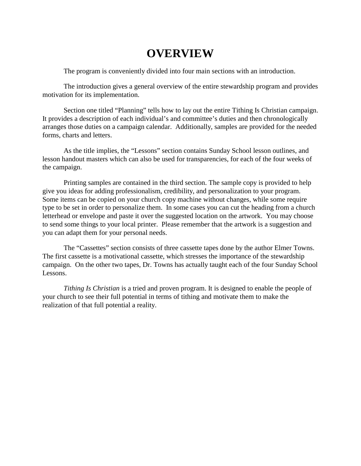# **OVERVIEW**

The program is conveniently divided into four main sections with an introduction.

The introduction gives a general overview of the entire stewardship program and provides motivation for its implementation.

Section one titled "Planning" tells how to lay out the entire Tithing Is Christian campaign. It provides a description of each individual's and committee's duties and then chronologically arranges those duties on a campaign calendar. Additionally, samples are provided for the needed forms, charts and letters.

As the title implies, the "Lessons" section contains Sunday School lesson outlines, and lesson handout masters which can also be used for transparencies, for each of the four weeks of the campaign.

Printing samples are contained in the third section. The sample copy is provided to help give you ideas for adding professionalism, credibility, and personalization to your program. Some items can be copied on your church copy machine without changes, while some require type to be set in order to personalize them. In some cases you can cut the heading from a church letterhead or envelope and paste it over the suggested location on the artwork. You may choose to send some things to your local printer. Please remember that the artwork is a suggestion and you can adapt them for your personal needs.

The "Cassettes" section consists of three cassette tapes done by the author Elmer Towns. The first cassette is a motivational cassette, which stresses the importance of the stewardship campaign. On the other two tapes, Dr. Towns has actually taught each of the four Sunday School Lessons.

*Tithing Is Christian* is a tried and proven program. It is designed to enable the people of your church to see their full potential in terms of tithing and motivate them to make the realization of that full potential a reality.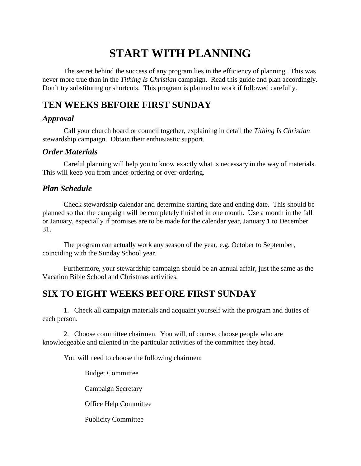# **START WITH PLANNING**

The secret behind the success of any program lies in the efficiency of planning. This was never more true than in the *Tithing Is Christian* campaign. Read this guide and plan accordingly. Don't try substituting or shortcuts. This program is planned to work if followed carefully.

# **TEN WEEKS BEFORE FIRST SUNDAY**

# *Approval*

Call your church board or council together, explaining in detail the *Tithing Is Christian* stewardship campaign. Obtain their enthusiastic support.

## *Order Materials*

Careful planning will help you to know exactly what is necessary in the way of materials. This will keep you from under-ordering or over-ordering.

## *Plan Schedule*

Check stewardship calendar and determine starting date and ending date. This should be planned so that the campaign will be completely finished in one month. Use a month in the fall or January, especially if promises are to be made for the calendar year, January 1 to December 31.

The program can actually work any season of the year, e.g. October to September, coinciding with the Sunday School year.

Furthermore, your stewardship campaign should be an annual affair, just the same as the Vacation Bible School and Christmas activities.

# **SIX TO EIGHT WEEKS BEFORE FIRST SUNDAY**

1. Check all campaign materials and acquaint yourself with the program and duties of each person.

2. Choose committee chairmen. You will, of course, choose people who are knowledgeable and talented in the particular activities of the committee they head.

You will need to choose the following chairmen:

Budget Committee

Campaign Secretary

Office Help Committee

Publicity Committee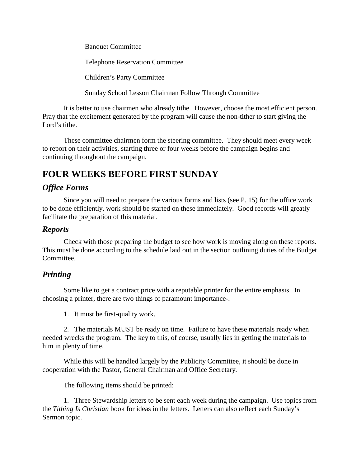Banquet Committee

Telephone Reservation Committee

Children's Party Committee

Sunday School Lesson Chairman Follow Through Committee

It is better to use chairmen who already tithe. However, choose the most efficient person. Pray that the excitement generated by the program will cause the non-tither to start giving the Lord's tithe.

These committee chairmen form the steering committee. They should meet every week to report on their activities, starting three or four weeks before the campaign begins and continuing throughout the campaign.

# **FOUR WEEKS BEFORE FIRST SUNDAY**

## *Office Forms*

Since you will need to prepare the various forms and lists (see P. 15) for the office work to be done efficiently, work should be started on these immediately. Good records will greatly facilitate the preparation of this material.

#### *Reports*

Check with those preparing the budget to see how work is moving along on these reports. This must be done according to the schedule laid out in the section outlining duties of the Budget Committee.

# *Printing*

Some like to get a contract price with a reputable printer for the entire emphasis. In choosing a printer, there are two things of paramount importance-.

1. It must be first-quality work.

2. The materials MUST be ready on time. Failure to have these materials ready when needed wrecks the program. The key to this, of course, usually lies in getting the materials to him in plenty of time.

While this will be handled largely by the Publicity Committee, it should be done in cooperation with the Pastor, General Chairman and Office Secretary.

The following items should be printed:

1. Three Stewardship letters to be sent each week during the campaign. Use topics from the *Tithing Is Christian* book for ideas in the letters. Letters can also reflect each Sunday's Sermon topic.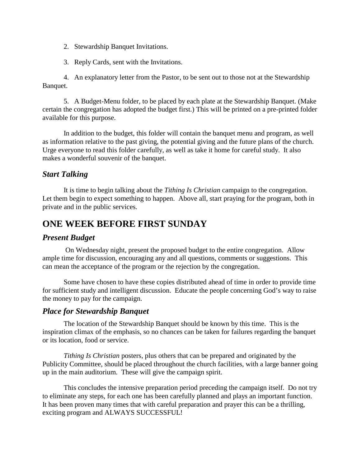- 2. Stewardship Banquet Invitations.
- 3. Reply Cards, sent with the Invitations.

4. An explanatory letter from the Pastor, to be sent out to those not at the Stewardship Banquet.

5. A Budget-Menu folder, to be placed by each plate at the Stewardship Banquet. (Make certain the congregation has adopted the budget first.) This will be printed on a pre-printed folder available for this purpose.

In addition to the budget, this folder will contain the banquet menu and program, as well as information relative to the past giving, the potential giving and the future plans of the church. Urge everyone to read this folder carefully, as well as take it home for careful study. It also makes a wonderful souvenir of the banquet.

#### *Start Talking*

It is time to begin talking about the *Tithing Is Christian* campaign to the congregation. Let them begin to expect something to happen. Above all, start praying for the program, both in private and in the public services.

# **ONE WEEK BEFORE FIRST SUNDAY**

#### *Present Budget*

On Wednesday night, present the proposed budget to the entire congregation. Allow ample time for discussion, encouraging any and all questions, comments or suggestions. This can mean the acceptance of the program or the rejection by the congregation.

Some have chosen to have these copies distributed ahead of time in order to provide time for sufficient study and intelligent discussion. Educate the people concerning God's way to raise the money to pay for the campaign.

#### *Place for Stewardship Banquet*

The location of the Stewardship Banquet should be known by this time. This is the inspiration climax of the emphasis, so no chances can be taken for failures regarding the banquet or its location, food or service.

*Tithing Is Christian* posters, plus others that can be prepared and originated by the Publicity Committee, should be placed throughout the church facilities, with a large banner going up in the main auditorium. These will give the campaign spirit.

This concludes the intensive preparation period preceding the campaign itself. Do not try to eliminate any steps, for each one has been carefully planned and plays an important function. It has been proven many times that with careful preparation and prayer this can be a thrilling, exciting program and ALWAYS SUCCESSFUL!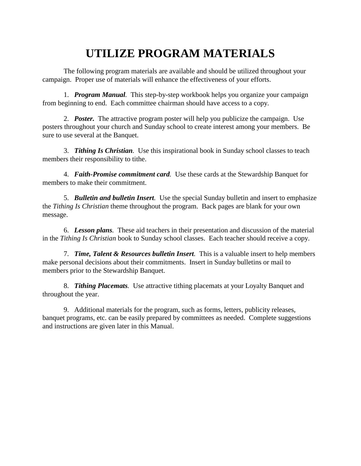# **UTILIZE PROGRAM MATERIALS**

The following program materials are available and should be utilized throughout your campaign. Proper use of materials will enhance the effectiveness of your efforts.

1. *Program Manual.* This step-by-step workbook helps you organize your campaign from beginning to end. Each committee chairman should have access to a copy.

2. *Poster.* The attractive program poster will help you publicize the campaign. Use posters throughout your church and Sunday school to create interest among your members. Be sure to use several at the Banquet.

3. *Tithing Is Christian.* Use this inspirational book in Sunday school classes to teach members their responsibility to tithe.

4. *Faith-Promise commitment card.* Use these cards at the Stewardship Banquet for members to make their commitment.

5. *Bulletin and bulletin Insert.* Use the special Sunday bulletin and insert to emphasize the *Tithing Is Christian* theme throughout the program. Back pages are blank for your own message.

6. *Lesson plans.* These aid teachers in their presentation and discussion of the material in the *Tithing Is Christian* book to Sunday school classes. Each teacher should receive a copy.

7. *Time, Talent & Resources bulletin Insert.* This is a valuable insert to help members make personal decisions about their commitments. Insert in Sunday bulletins or mail to members prior to the Stewardship Banquet.

8. *Tithing Placemats.* Use attractive tithing placemats at your Loyalty Banquet and throughout the year.

9. Additional materials for the program, such as forms, letters, publicity releases, banquet programs, etc. can be easily prepared by committees as needed. Complete suggestions and instructions are given later in this Manual.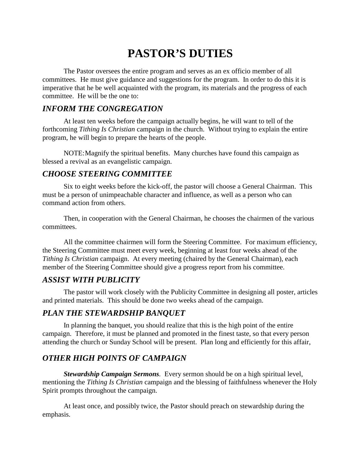# **PASTOR'S DUTIES**

The Pastor oversees the entire program and serves as an ex officio member of all committees. He must give guidance and suggestions for the program. In order to do this it is imperative that he be well acquainted with the program, its materials and the progress of each committee. He will be the one to:

#### *INFORM THE CONGREGATION*

At least ten weeks before the campaign actually begins, he will want to tell of the forthcoming *Tithing Is Christian* campaign in the church. Without trying to explain the entire program, he will begin to prepare the hearts of the people.

NOTE: Magnify the spiritual benefits. Many churches have found this campaign as blessed a revival as an evangelistic campaign.

#### *CHOOSE STEERING COMMITTEE*

Six to eight weeks before the kick-off, the pastor will choose a General Chairman. This must be a person of unimpeachable character and influence, as well as a person who can command action from others.

Then, in cooperation with the General Chairman, he chooses the chairmen of the various committees.

All the committee chairmen will form the Steering Committee. For maximum efficiency, the Steering Committee must meet every week, beginning at least four weeks ahead of the *Tithing Is Christian* campaign. At every meeting (chaired by the General Chairman), each member of the Steering Committee should give a progress report from his committee.

## *ASSIST WITH PUBLICITY*

The pastor will work closely with the Publicity Committee in designing all poster, articles and printed materials. This should be done two weeks ahead of the campaign.

## *PLAN THE STEWARDSHIP BANQUET*

In planning the banquet, you should realize that this is the high point of the entire campaign. Therefore, it must be planned and promoted in the finest taste, so that every person attending the church or Sunday School will be present. Plan long and efficiently for this affair,

# *OTHER HIGH POINTS OF CAMPAIGN*

*Stewardship Campaign Sermons.* Every sermon should be on a high spiritual level, mentioning the *Tithing Is Christian* campaign and the blessing of faithfulness whenever the Holy Spirit prompts throughout the campaign.

At least once, and possibly twice, the Pastor should preach on stewardship during the emphasis.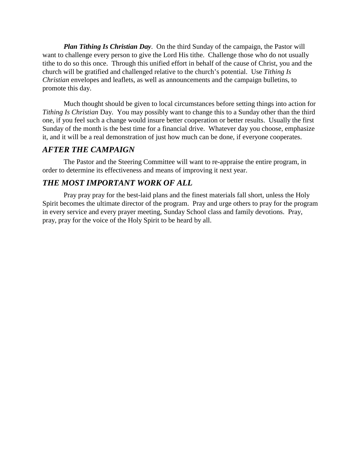*Plan Tithing Is Christian Day*. On the third Sunday of the campaign, the Pastor will want to challenge every person to give the Lord His tithe. Challenge those who do not usually tithe to do so this once. Through this unified effort in behalf of the cause of Christ, you and the church will be gratified and challenged relative to the church's potential. Use *Tithing Is Christian* envelopes and leaflets, as well as announcements and the campaign bulletins, to promote this day.

Much thought should be given to local circumstances before setting things into action for *Tithing Is Christian* Day. You may possibly want to change this to a Sunday other than the third one, if you feel such a change would insure better cooperation or better results. Usually the first Sunday of the month is the best time for a financial drive. Whatever day you choose, emphasize it, and it will be a real demonstration of just how much can be done, if everyone cooperates.

#### *AFTER THE CAMPAIGN*

The Pastor and the Steering Committee will want to re-appraise the entire program, in order to determine its effectiveness and means of improving it next year.

## *THE MOST IMPORTANT WORK OF ALL*

Pray pray pray for the best-laid plans and the finest materials fall short, unless the Holy Spirit becomes the ultimate director of the program. Pray and urge others to pray for the program in every service and every prayer meeting, Sunday School class and family devotions. Pray, pray, pray for the voice of the Holy Spirit to be heard by all.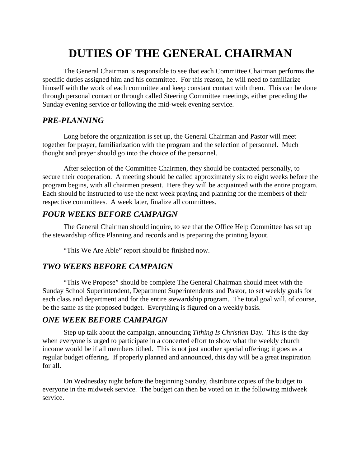# **DUTIES OF THE GENERAL CHAIRMAN**

The General Chairman is responsible to see that each Committee Chairman performs the specific duties assigned him and his committee. For this reason, he will need to familiarize himself with the work of each committee and keep constant contact with them. This can be done through personal contact or through called Steering Committee meetings, either preceding the Sunday evening service or following the mid-week evening service.

#### *PRE-PLANNING*

Long before the organization is set up, the General Chairman and Pastor will meet together for prayer, familiarization with the program and the selection of personnel. Much thought and prayer should go into the choice of the personnel.

After selection of the Committee Chairmen, they should be contacted personally, to secure their cooperation. A meeting should be called approximately six to eight weeks before the program begins, with all chairmen present. Here they will be acquainted with the entire program. Each should be instructed to use the next week praying and planning for the members of their respective committees. A week later, finalize all committees.

## *FOUR WEEKS BEFORE CAMPAIGN*

The General Chairman should inquire, to see that the Office Help Committee has set up the stewardship office Planning and records and is preparing the printing layout.

"This We Are Able" report should be finished now.

## *TWO WEEKS BEFORE CAMPAIGN*

"This We Propose" should be complete The General Chairman should meet with the Sunday School Superintendent, Department Superintendents and Pastor, to set weekly goals for each class and department and for the entire stewardship program. The total goal will, of course, be the same as the proposed budget. Everything is figured on a weekly basis.

## *ONE WEEK BEFORE CAMPAIGN*

Step up talk about the campaign, announcing *Tithing Is Christian* Day. This is the day when everyone is urged to participate in a concerted effort to show what the weekly church income would be if all members tithed. This is not just another special offering; it goes as a regular budget offering. If properly planned and announced, this day will be a great inspiration for all.

On Wednesday night before the beginning Sunday, distribute copies of the budget to everyone in the midweek service. The budget can then be voted on in the following midweek service.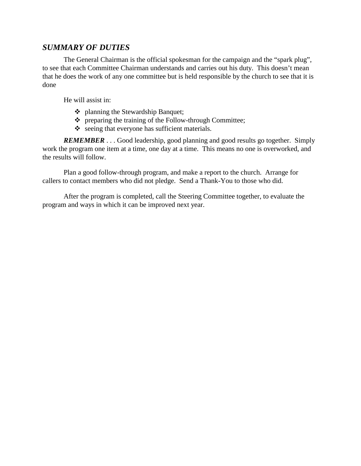## *SUMMARY OF DUTIES*

The General Chairman is the official spokesman for the campaign and the "spark plug", to see that each Committee Chairman understands and carries out his duty. This doesn't mean that he does the work of any one committee but is held responsible by the church to see that it is done

He will assist in:

- ❖ planning the Stewardship Banquet;
- $\triangle$  preparing the training of the Follow-through Committee;
- $\bullet$  seeing that everyone has sufficient materials.

*REMEMBER* . . . Good leadership, good planning and good results go together. Simply work the program one item at a time, one day at a time. This means no one is overworked, and the results will follow.

Plan a good follow-through program, and make a report to the church. Arrange for callers to contact members who did not pledge. Send a Thank-You to those who did.

After the program is completed, call the Steering Committee together, to evaluate the program and ways in which it can be improved next year.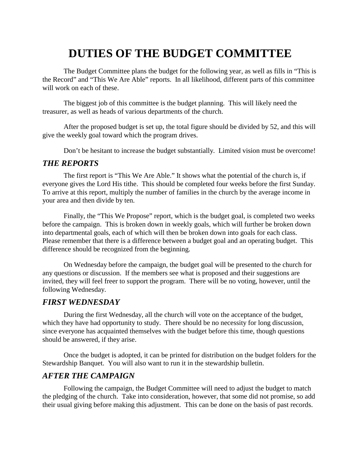# **DUTIES OF THE BUDGET COMMITTEE**

The Budget Committee plans the budget for the following year, as well as fills in "This is the Record" and "This We Are Able" reports. In all likelihood, different parts of this committee will work on each of these.

The biggest job of this committee is the budget planning. This will likely need the treasurer, as well as heads of various departments of the church.

After the proposed budget is set up, the total figure should be divided by 52, and this will give the weekly goal toward which the program drives.

Don't be hesitant to increase the budget substantially. Limited vision must be overcome!

#### *THE REPORTS*

The first report is "This We Are Able." It shows what the potential of the church is, if everyone gives the Lord His tithe. This should be completed four weeks before the first Sunday. To arrive at this report, multiply the number of families in the church by the average income in your area and then divide by ten.

Finally, the "This We Propose" report, which is the budget goal, is completed two weeks before the campaign. This is broken down in weekly goals, which will further be broken down into departmental goals, each of which will then be broken down into goals for each class. Please remember that there is a difference between a budget goal and an operating budget. This difference should be recognized from the beginning.

On Wednesday before the campaign, the budget goal will be presented to the church for any questions or discussion. If the members see what is proposed and their suggestions are invited, they will feel freer to support the program. There will be no voting, however, until the following Wednesday.

#### *FIRST WEDNESDAY*

During the first Wednesday, all the church will vote on the acceptance of the budget, which they have had opportunity to study. There should be no necessity for long discussion, since everyone has acquainted themselves with the budget before this time, though questions should be answered, if they arise.

Once the budget is adopted, it can be printed for distribution on the budget folders for the Stewardship Banquet. You will also want to run it in the stewardship bulletin.

#### *AFTER THE CAMPAIGN*

Following the campaign, the Budget Committee will need to adjust the budget to match the pledging of the church. Take into consideration, however, that some did not promise, so add their usual giving before making this adjustment. This can be done on the basis of past records.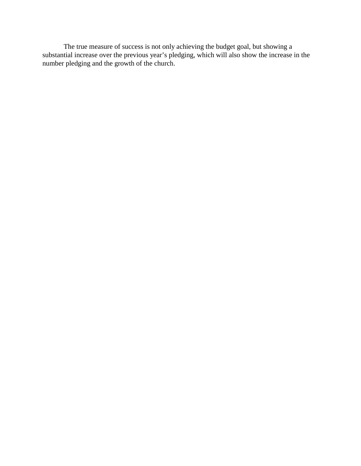The true measure of success is not only achieving the budget goal, but showing a substantial increase over the previous year's pledging, which will also show the increase in the number pledging and the growth of the church.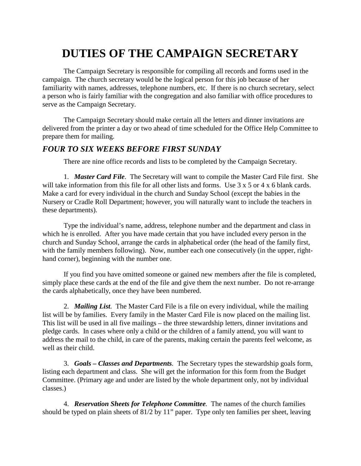# **DUTIES OF THE CAMPAIGN SECRETARY**

The Campaign Secretary is responsible for compiling all records and forms used in the campaign. The church secretary would be the logical person for this job because of her familiarity with names, addresses, telephone numbers, etc. If there is no church secretary, select a person who is fairly familiar with the congregation and also familiar with office procedures to serve as the Campaign Secretary.

The Campaign Secretary should make certain all the letters and dinner invitations are delivered from the printer a day or two ahead of time scheduled for the Office Help Committee to prepare them for mailing.

#### *FOUR TO SIX WEEKS BEFORE FIRST SUNDAY*

There are nine office records and lists to be completed by the Campaign Secretary.

1. *Master Card File*. The Secretary will want to compile the Master Card File first. She will take information from this file for all other lists and forms. Use  $3 \times 5$  or  $4 \times 6$  blank cards. Make a card for every individual in the church and Sunday School (except the babies in the Nursery or Cradle Roll Department; however, you will naturally want to include the teachers in these departments).

Type the individual's name, address, telephone number and the department and class in which he is enrolled. After you have made certain that you have included every person in the church and Sunday School, arrange the cards in alphabetical order (the head of the family first, with the family members following). Now, number each one consecutively (in the upper, righthand corner), beginning with the number one.

If you find you have omitted someone or gained new members after the file is completed, simply place these cards at the end of the file and give them the next number. Do not re-arrange the cards alphabetically, once they have been numbered.

2. *Mailing List.* The Master Card File is a file on every individual, while the mailing list will be by families. Every family in the Master Card File is now placed on the mailing list. This list will be used in all five mailings – the three stewardship letters, dinner invitations and pledge cards. In cases where only a child or the children of a family attend, you will want to address the mail to the child, in care of the parents, making certain the parents feel welcome, as well as their child.

3. *Goals – Classes and Departments.* The Secretary types the stewardship goals form, listing each department and class. She will get the information for this form from the Budget Committee. (Primary age and under are listed by the whole department only, not by individual classes.)

4. *Reservation Sheets for Telephone Committee.* The names of the church families should be typed on plain sheets of 81/2 by 11" paper. Type only ten families per sheet, leaving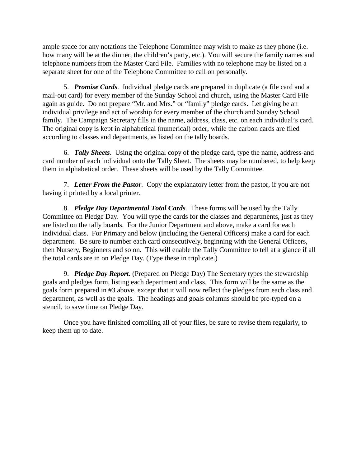ample space for any notations the Telephone Committee may wish to make as they phone (i.e. how many will be at the dinner, the children's party, etc.). You will secure the family names and telephone numbers from the Master Card File. Families with no telephone may be listed on a separate sheet for one of the Telephone Committee to call on personally.

5. *Promise Cards.* Individual pledge cards are prepared in duplicate (a file card and a mail-out card) for every member of the Sunday School and church, using the Master Card File again as guide. Do not prepare "Mr. and Mrs." or "family" pledge cards. Let giving be an individual privilege and act of worship for every member of the church and Sunday School family. The Campaign Secretary fills in the name, address, class, etc. on each individual's card. The original copy is kept in alphabetical (numerical) order, while the carbon cards are filed according to classes and departments, as listed on the tally boards.

6. *Tally Sheets*. Using the original copy of the pledge card, type the name, address-and card number of each individual onto the Tally Sheet. The sheets may be numbered, to help keep them in alphabetical order. These sheets will be used by the Tally Committee.

7. *Letter From the Pastor.* Copy the explanatory letter from the pastor, if you are not having it printed by a local printer.

8. *Pledge Day Departmental Total Cards.* These forms will be used by the Tally Committee on Pledge Day. You will type the cards for the classes and departments, just as they are listed on the tally boards. For the Junior Department and above, make a card for each individual class. For Primary and below (including the General Officers) make a card for each department. Be sure to number each card consecutively, beginning with the General Officers, then Nursery, Beginners and so on. This will enable the Tally Committee to tell at a glance if all the total cards are in on Pledge Day. (Type these in triplicate.)

9. *Pledge Day Report.* (Prepared on Pledge Day) The Secretary types the stewardship goals and pledges form, listing each department and class. This form will be the same as the goals form prepared in #3 above, except that it will now reflect the pledges from each class and department, as well as the goals. The headings and goals columns should be pre-typed on a stencil, to save time on Pledge Day.

Once you have finished compiling all of your files, be sure to revise them regularly, to keep them up to date.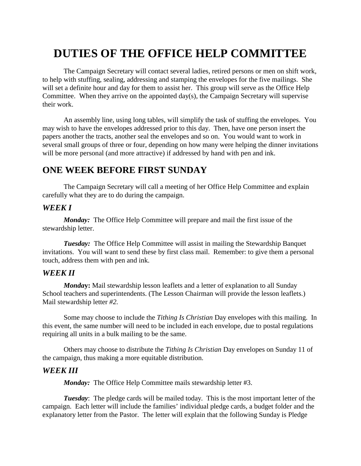# **DUTIES OF THE OFFICE HELP COMMITTEE**

The Campaign Secretary will contact several ladies, retired persons or men on shift work, to help with stuffing, sealing, addressing and stamping the envelopes for the five mailings. She will set a definite hour and day for them to assist her. This group will serve as the Office Help Committee. When they arrive on the appointed day(s), the Campaign Secretary will supervise their work.

An assembly line, using long tables, will simplify the task of stuffing the envelopes. You may wish to have the envelopes addressed prior to this day. Then, have one person insert the papers another the tracts, another seal the envelopes and so on. You would want to work in several small groups of three or four, depending on how many were helping the dinner invitations will be more personal (and more attractive) if addressed by hand with pen and ink.

# **ONE WEEK BEFORE FIRST SUNDAY**

The Campaign Secretary will call a meeting of her Office Help Committee and explain carefully what they are to do during the campaign.

#### *WEEK I*

*Monday:* The Office Help Committee will prepare and mail the first issue of the stewardship letter.

*Tuesday:* The Office Help Committee will assist in mailing the Stewardship Banquet invitations. You will want to send these by first class mail. Remember: to give them a personal touch, address them with pen and ink.

#### *WEEK II*

*Monda***y:** Mail stewardship lesson leaflets and a letter of explanation to all Sunday School teachers and superintendents. (The Lesson Chairman will provide the lesson leaflets.) Mail stewardship letter *#2.*

Some may choose to include the *Tithing Is Christian* Day envelopes with this mailing. In this event, the same number will need to be included in each envelope, due to postal regulations requiring all units in a bulk mailing to be the same.

Others may choose to distribute the *Tithing Is Christian* Day envelopes on Sunday 11 of the campaign, thus making a more equitable distribution.

#### *WEEK III*

*Monday:* The Office Help Committee mails stewardship letter #3.

*Tuesday*: The pledge cards will be mailed today. This is the most important letter of the campaign. Each letter will include the families' individual pledge cards, a budget folder and the explanatory letter from the Pastor. The letter will explain that the following Sunday is Pledge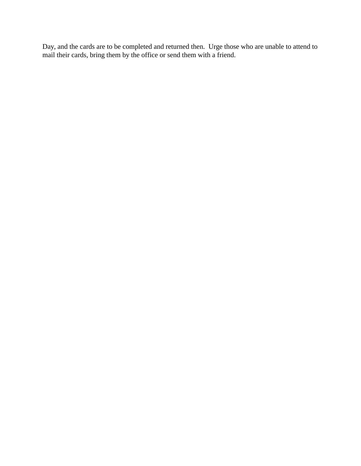Day, and the cards are to be completed and returned then. Urge those who are unable to attend to mail their cards, bring them by the office or send them with a friend.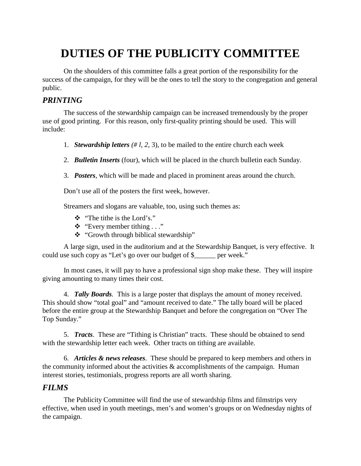# **DUTIES OF THE PUBLICITY COMMITTEE**

On the shoulders of this committee falls a great portion of the responsibility for the success of the campaign, for they will be the ones to tell the story to the congregation and general public.

#### *PRINTING*

The success of the stewardship campaign can be increased tremendously by the proper use of good printing. For this reason, only first-quality printing should be used. This will include:

- 1. *Stewardship letters (# l, 2,* 3), to be mailed to the entire church each week
- 2. *Bulletin Inserts* (four), which will be placed in the church bulletin each Sunday.
- 3. *Posters*, which will be made and placed in prominent areas around the church.

Don't use all of the posters the first week, however.

Streamers and slogans are valuable, too, using such themes as:

- ! "The tithe is the Lord's."
- $\triangleq$  "Every member tithing . . ."
- \* "Growth through biblical stewardship"

A large sign, used in the auditorium and at the Stewardship Banquet, is very effective. It could use such copy as "Let's go over our budget of \$\_\_\_\_\_\_ per week."

In most cases, it will pay to have a professional sign shop make these. They will inspire giving amounting to many times their cost.

4. *Tally Boards.* This is a large poster that displays the amount of money received. This should show "total goal" and "amount received to date." The tally board will be placed before the entire group at the Stewardship Banquet and before the congregation on "Over The Top Sunday."

5. *Tracts*. These are "Tithing is Christian" tracts. These should be obtained to send with the stewardship letter each week. Other tracts on tithing are available.

6. *Articles & news releases*. These should be prepared to keep members and others in the community informed about the activities  $\&$  accomplishments of the campaign. Human interest stories, testimonials, progress reports are all worth sharing.

#### *FILMS*

The Publicity Committee will find the use of stewardship films and filmstrips very effective, when used in youth meetings, men's and women's groups or on Wednesday nights of the campaign.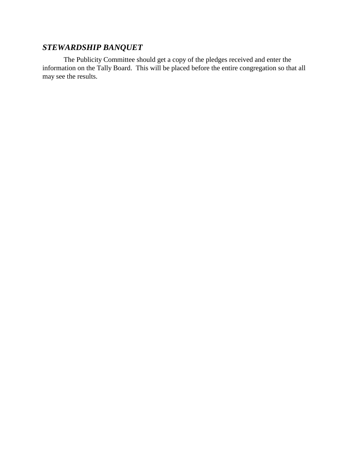# *STEWARDSHIP BANQUET*

The Publicity Committee should get a copy of the pledges received and enter the information on the Tally Board. This will be placed before the entire congregation so that all may see the results.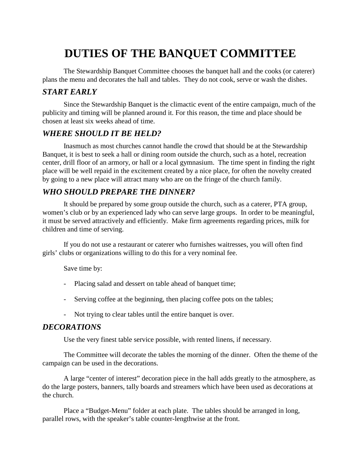# **DUTIES OF THE BANQUET COMMITTEE**

The Stewardship Banquet Committee chooses the banquet hall and the cooks (or caterer) plans the menu and decorates the hall and tables. They do not cook, serve or wash the dishes.

## *START EARLY*

Since the Stewardship Banquet is the climactic event of the entire campaign, much of the publicity and timing will be planned around it. For this reason, the time and place should be chosen at least six weeks ahead of time.

# *WHERE SHOULD IT BE HELD?*

Inasmuch as most churches cannot handle the crowd that should be at the Stewardship Banquet, it is best to seek a hall or dining room outside the church, such as a hotel, recreation center, drill floor of an armory, or hall or a local gymnasium. The time spent in finding the right place will be well repaid in the excitement created by a nice place, for often the novelty created by going to a new place will attract many who are on the fringe of the church family.

# *WHO SHOULD PREPARE THE DINNER?*

It should be prepared by some group outside the church, such as a caterer, PTA group, women's club or by an experienced lady who can serve large groups. In order to be meaningful, it must be served attractively and efficiently. Make firm agreements regarding prices, milk for children and time of serving.

If you do not use a restaurant or caterer who furnishes waitresses, you will often find girls' clubs or organizations willing to do this for a very nominal fee.

Save time by:

- Placing salad and dessert on table ahead of banquet time;
- Serving coffee at the beginning, then placing coffee pots on the tables;
- Not trying to clear tables until the entire banquet is over.

#### *DECORATIONS*

Use the very finest table service possible, with rented linens, if necessary.

The Committee will decorate the tables the morning of the dinner. Often the theme of the campaign can be used in the decorations.

A large "center of interest" decoration piece in the hall adds greatly to the atmosphere, as do the large posters, banners, tally boards and streamers which have been used as decorations at the church.

Place a "Budget-Menu" folder at each plate. The tables should be arranged in long, parallel rows, with the speaker's table counter-lengthwise at the front.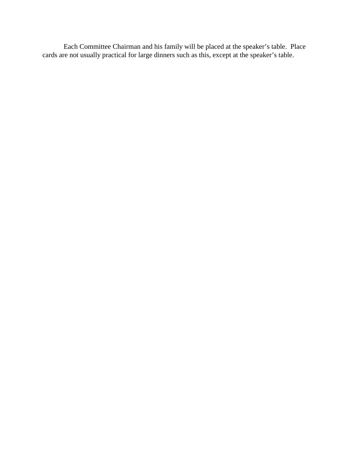Each Committee Chairman and his family will be placed at the speaker's table. Place cards are not usually practical for large dinners such as this, except at the speaker's table.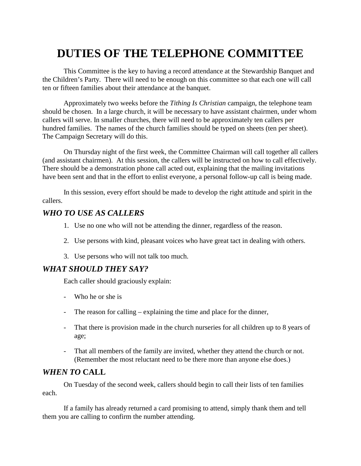# **DUTIES OF THE TELEPHONE COMMITTEE**

This Committee is the key to having a record attendance at the Stewardship Banquet and the Children's Party. There will need to be enough on this committee so that each one will call ten or fifteen families about their attendance at the banquet.

Approximately two weeks before the *Tithing Is Christian* campaign, the telephone team should be chosen. In a large church, it will be necessary to have assistant chairmen, under whom callers will serve. In smaller churches, there will need to be approximately ten callers per hundred families. The names of the church families should be typed on sheets (ten per sheet). The Campaign Secretary will do this.

On Thursday night of the first week, the Committee Chairman will call together all callers (and assistant chairmen). At this session, the callers will be instructed on how to call effectively. There should be a demonstration phone call acted out, explaining that the mailing invitations have been sent and that in the effort to enlist everyone, a personal follow-up call is being made.

In this session, every effort should be made to develop the right attitude and spirit in the callers.

#### *WHO TO USE AS CALLERS*

- 1. Use no one who will not be attending the dinner, regardless of the reason.
- 2. Use persons with kind, pleasant voices who have great tact in dealing with others.
- 3. Use persons who will not talk too much.

#### *WHAT SHOULD THEY SAY?*

Each caller should graciously explain:

- Who he or she is
- The reason for calling explaining the time and place for the dinner,
- That there is provision made in the church nurseries for all children up to 8 years of age;
- That all members of the family are invited, whether they attend the church or not. (Remember the most reluctant need to be there more than anyone else does.)

#### *WHEN TO* **CALL**

On Tuesday of the second week, callers should begin to call their lists of ten families each.

If a family has already returned a card promising to attend, simply thank them and tell them you are calling to confirm the number attending.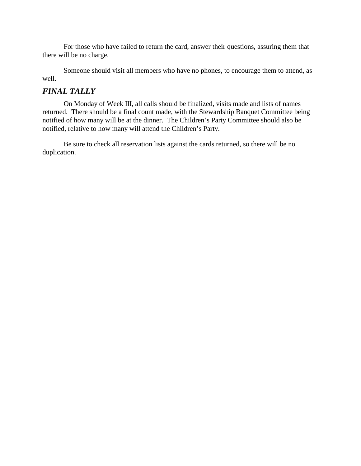For those who have failed to return the card, answer their questions, assuring them that there will be no charge.

Someone should visit all members who have no phones, to encourage them to attend, as well.

#### *FINAL TALLY*

On Monday of Week III, all calls should be finalized, visits made and lists of names returned. There should be a final count made, with the Stewardship Banquet Committee being notified of how many will be at the dinner. The Children's Party Committee should also be notified, relative to how many will attend the Children's Party.

Be sure to check all reservation lists against the cards returned, so there will be no duplication.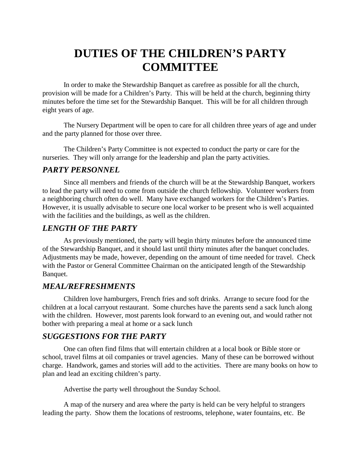# **DUTIES OF THE CHILDREN'S PARTY COMMITTEE**

In order to make the Stewardship Banquet as carefree as possible for all the church, provision will be made for a Children's Party. This will be held at the church, beginning thirty minutes before the time set for the Stewardship Banquet. This will be for all children through eight years of age.

The Nursery Department will be open to care for all children three years of age and under and the party planned for those over three.

The Children's Party Committee is not expected to conduct the party or care for the nurseries. They will only arrange for the leadership and plan the party activities.

#### *PARTY PERSONNEL*

Since all members and friends of the church will be at the Stewardship Banquet, workers to lead the party will need to come from outside the church fellowship. Volunteer workers from a neighboring church often do well. Many have exchanged workers for the Children's Parties. However, it is usually advisable to secure one local worker to be present who is well acquainted with the facilities and the buildings, as well as the children.

## *LENGTH OF THE PARTY*

As previously mentioned, the party will begin thirty minutes before the announced time of the Stewardship Banquet, and it should last until thirty minutes after the banquet concludes. Adjustments may be made, however, depending on the amount of time needed for travel. Check with the Pastor or General Committee Chairman on the anticipated length of the Stewardship Banquet.

## *MEAL/REFRESHMENTS*

Children love hamburgers, French fries and soft drinks. Arrange to secure food for the children at a local carryout restaurant. Some churches have the parents send a sack lunch along with the children. However, most parents look forward to an evening out, and would rather not bother with preparing a meal at home or a sack lunch

#### *SUGGESTIONS FOR THE PARTY*

One can often find films that will entertain children at a local book or Bible store or school, travel films at oil companies or travel agencies. Many of these can be borrowed without charge. Handwork, games and stories will add to the activities. There are many books on how to plan and lead an exciting children's party.

Advertise the party well throughout the Sunday School.

A map of the nursery and area where the party is held can be very helpful to strangers leading the party. Show them the locations of restrooms, telephone, water fountains, etc. Be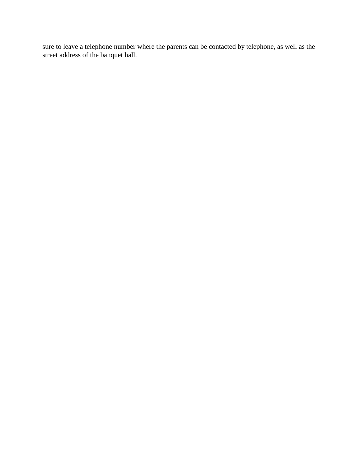sure to leave a telephone number where the parents can be contacted by telephone, as well as the street address of the banquet hall.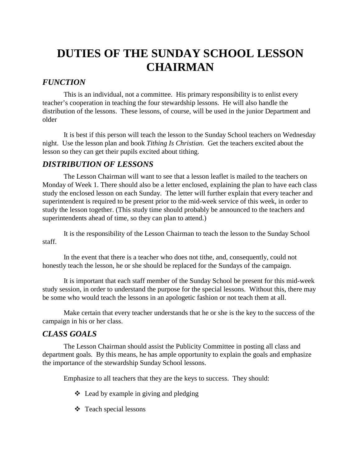# **DUTIES OF THE SUNDAY SCHOOL LESSON CHAIRMAN**

# *FUNCTION*

This is an individual, not a committee. His primary responsibility is to enlist every teacher's cooperation in teaching the four stewardship lessons. He will also handle the distribution of the lessons. These lessons, of course, will be used in the junior Department and older

It is best if this person will teach the lesson to the Sunday School teachers on Wednesday night. Use the lesson plan and book *Tithing Is Christian.* Get the teachers excited about the lesson so they can get their pupils excited about tithing.

## *DISTRIBUTION OF LESSONS*

The Lesson Chairman will want to see that a lesson leaflet is mailed to the teachers on Monday of Week 1. There should also be a letter enclosed, explaining the plan to have each class study the enclosed lesson on each Sunday. The letter will further explain that every teacher and superintendent is required to be present prior to the mid-week service of this week, in order to study the lesson together. (This study time should probably be announced to the teachers and superintendents ahead of time, so they can plan to attend.)

It is the responsibility of the Lesson Chairman to teach the lesson to the Sunday School staff.

In the event that there is a teacher who does not tithe, and, consequently, could not honestly teach the lesson, he or she should be replaced for the Sundays of the campaign.

It is important that each staff member of the Sunday School be present for this mid-week study session, in order to understand the purpose for the special lessons. Without this, there may be some who would teach the lessons in an apologetic fashion or not teach them at all.

Make certain that every teacher understands that he or she is the key to the success of the campaign in his or her class.

## *CLASS GOALS*

The Lesson Chairman should assist the Publicity Committee in posting all class and department goals. By this means, he has ample opportunity to explain the goals and emphasize the importance of the stewardship Sunday School lessons.

Emphasize to all teachers that they are the keys to success. They should:

- $\triangleleft$  Lead by example in giving and pledging
- $\div$  Teach special lessons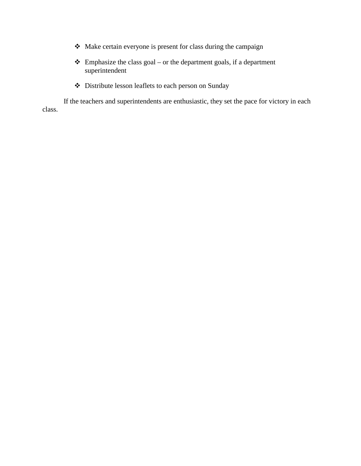- ! Make certain everyone is present for class during the campaign
- $\triangleleft$  Emphasize the class goal or the department goals, if a department superintendent
- ! Distribute lesson leaflets to each person on Sunday

If the teachers and superintendents are enthusiastic, they set the pace for victory in each class.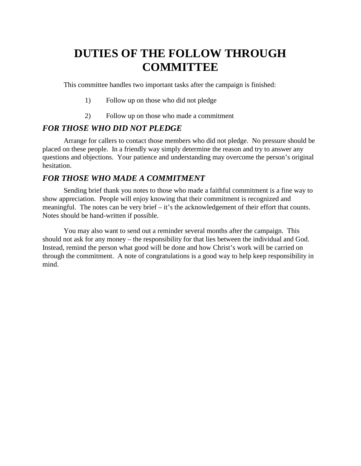# **DUTIES OF THE FOLLOW THROUGH COMMITTEE**

This committee handles two important tasks after the campaign is finished:

- 1) Follow up on those who did not pledge
- 2) Follow up on those who made a commitment

#### *FOR THOSE WHO DID NOT PLEDGE*

Arrange for callers to contact those members who did not pledge. No pressure should be placed on these people. In a friendly way simply determine the reason and try to answer any questions and objections. Your patience and understanding may overcome the person's original hesitation.

## *FOR THOSE WHO MADE A COMMITMENT*

Sending brief thank you notes to those who made a faithful commitment is a fine way to show appreciation. People will enjoy knowing that their commitment is recognized and meaningful. The notes can be very brief – it's the acknowledgement of their effort that counts. Notes should be hand-written if possible.

You may also want to send out a reminder several months after the campaign. This should not ask for any money – the responsibility for that lies between the individual and God. Instead, remind the person what good will be done and how Christ's work will be carried on through the commitment. A note of congratulations is a good way to help keep responsibility in mind.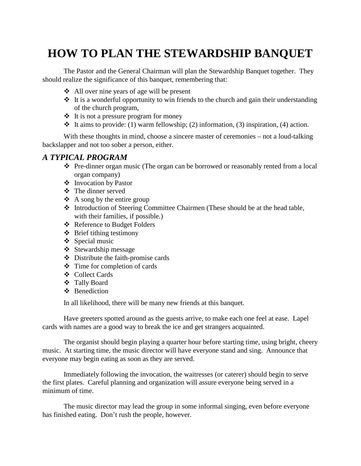## **HOW TO PLAN THE STEWARDSHIP BANQUET**

The Pastor and the General Chairman will plan the Stewardship Banquet together. They should realize the significance of this banquet, remembering that:

- $\triangleleft$  All over nine years of age will be present
- $\cdot$  It is a wonderful opportunity to win friends to the church and gain their understanding of the church program,
- $\triangleleft$  It is not a pressure program for money
- $\cdot$  It aims to provide: (1) warm fellowship; (2) information, (3) inspiration, (4) action.

With these thoughts in mind, choose a sincere master of ceremonies – not a loud-talking backslapper and not too sober a person, either.

### *A TYPICAL PROGRAM*

- $\div$  Pre-dinner organ music (The organ can be borrowed or reasonably rented from a local organ company)
- ! Invocation by Pastor
- ! The dinner served
- $\triangle$  A song by the entire group
- ! Introduction of Steering Committee Chairmen (These should be at the head table, with their families, if possible.)
- ❖ Reference to Budget Folders
- $\triangleleft$  Brief tithing testimony
- $\div$  Special music
- $\div$  Stewardship message
- $\div$  Distribute the faith-promise cards
- $\div$  Time for completion of cards
- ❖ Collect Cards
- ! Tally Board
- ❖ Benediction

In all likelihood, there will be many new friends at this banquet.

Have greeters spotted around as the guests arrive, to make each one feel at ease. Lapel cards with names are a good way to break the ice and get strangers acquainted.

The organist should begin playing a quarter hour before starting time, using bright, cheery music. At starting time, the music director will have everyone stand and sing. Announce that everyone may begin eating as soon as they are served.

Immediately following the invocation, the waitresses (or caterer) should begin to serve the first plates. Careful planning and organization will assure everyone being served in a minimum of time.

The music director may lead the group in some informal singing, even before everyone has finished eating. Don't rush the people, however.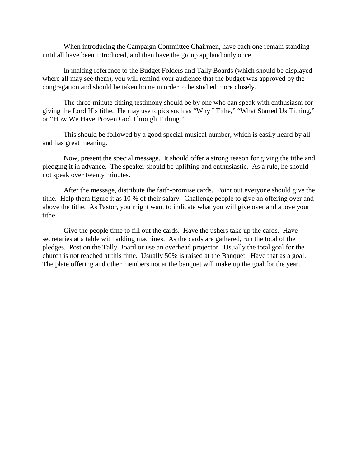When introducing the Campaign Committee Chairmen, have each one remain standing until all have been introduced, and then have the group applaud only once.

In making reference to the Budget Folders and Tally Boards (which should be displayed where all may see them), you will remind your audience that the budget was approved by the congregation and should be taken home in order to be studied more closely.

The three-minute tithing testimony should be by one who can speak with enthusiasm for giving the Lord His tithe. He may use topics such as "Why I Tithe," "What Started Us Tithing," or "How We Have Proven God Through Tithing."

This should be followed by a good special musical number, which is easily heard by all and has great meaning.

Now, present the special message. It should offer a strong reason for giving the tithe and pledging it in advance. The speaker should be uplifting and enthusiastic. As a rule, he should not speak over twenty minutes.

After the message, distribute the faith-promise cards. Point out everyone should give the tithe. Help them figure it as 10 % of their salary. Challenge people to give an offering over and above the tithe. As Pastor, you might want to indicate what you will give over and above your tithe.

Give the people time to fill out the cards. Have the ushers take up the cards. Have secretaries at a table with adding machines. As the cards are gathered, run the total of the pledges. Post on the Tally Board or use an overhead projector. Usually the total goal for the church is not reached at this time. Usually 50% is raised at the Banquet. Have that as a goal. The plate offering and other members not at the banquet will make up the goal for the year.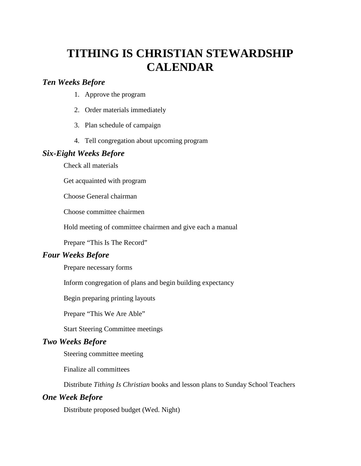## **TITHING IS CHRISTIAN STEWARDSHIP CALENDAR**

### *Ten Weeks Before*

- 1. Approve the program
- 2. Order materials immediately
- 3. Plan schedule of campaign
- 4. Tell congregation about upcoming program

### *Six-Eight Weeks Before*

Check all materials

Get acquainted with program

Choose General chairman

Choose committee chairmen

Hold meeting of committee chairmen and give each a manual

Prepare "This Is The Record"

### *Four Weeks Before*

Prepare necessary forms

Inform congregation of plans and begin building expectancy

Begin preparing printing layouts

Prepare "This We Are Able"

Start Steering Committee meetings

### *Two Weeks Before*

Steering committee meeting

Finalize all committees

Distribute *Tithing Is Christian* books and lesson plans to Sunday School Teachers

### *One Week Before*

Distribute proposed budget (Wed. Night)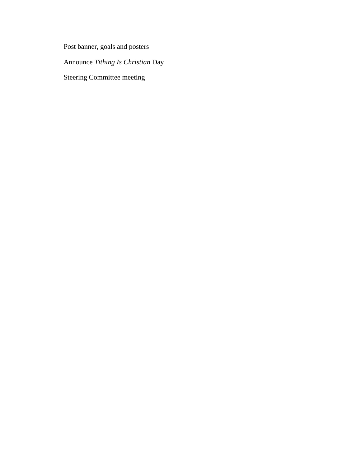Post banner, goals and posters

Announce *Tithing Is Christian* Day

Steering Committee meeting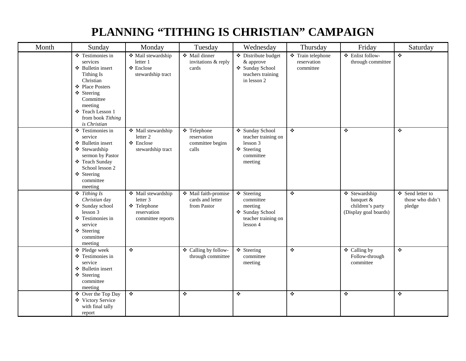# **PLANNING "TITHING IS CHRISTIAN" CAMPAIGN**

| Month | Sunday                                                                                                                                                                                         | Monday                                                                            | Tuesday                                                 | Wednesday                                                                                | Thursday                                      | Friday                                                                  | Saturday                                       |
|-------|------------------------------------------------------------------------------------------------------------------------------------------------------------------------------------------------|-----------------------------------------------------------------------------------|---------------------------------------------------------|------------------------------------------------------------------------------------------|-----------------------------------------------|-------------------------------------------------------------------------|------------------------------------------------|
|       | ❖ Testimonies in<br>services<br>❖ Bulletin insert<br>Tithing Is<br>Christian<br>❖ Place Posters<br>❖ Steering<br>Committee<br>meeting<br>❖ Teach Lesson 1<br>from book Tithing<br>is Christian | ◆ Mail stewardship<br>letter 1<br>❖ Enclose<br>stewardship tract                  | ❖ Mail dinner<br>invitations & reply<br>cards           | Distribute budget<br>& approve<br>❖ Sunday School<br>teachers training<br>in lesson 2    | ❖ Train telephone<br>reservation<br>committee | ❖ Enlist follow-<br>through committee                                   | $\bullet$                                      |
|       | $\overline{\textbf{L}}$ Testimonies in<br>service<br>❖ Bulletin insert<br>❖ Stewardship<br>sermon by Pastor<br>❖ Teach Sunday<br>School lesson 2<br>❖ Steering<br>committee<br>meeting         | Mail stewardship<br>letter 2<br>$\triangle$ Enclose<br>stewardship tract          | ❖ Telephone<br>reservation<br>committee begins<br>calls | ❖ Sunday School<br>teacher training on<br>lesson 3<br>❖ Steering<br>committee<br>meeting | $\ddot{\ddot{\psi}}$                          | ❖                                                                       | $\ddot{\bullet}$                               |
|       | $\div$ Tithing Is<br>Christian day<br>❖ Sunday school<br>lesson 3<br>❖ Testimonies in<br>service<br>❖ Steering<br>committee<br>meeting                                                         | ❖ Mail stewardship<br>letter 3<br>❖ Telephone<br>reservation<br>committee reports | ❖ Mail faith-promise<br>cards and letter<br>from Pastor | ❖ Steering<br>committee<br>meeting<br>❖ Sunday School<br>teacher training on<br>lesson 4 | $\ddot{\bullet}$                              | ❖ Stewardship<br>banquet &<br>children's party<br>(Display goal boards) | ❖ Send letter to<br>those who didn't<br>pledge |
|       | ❖ Pledge week<br>❖ Testimonies in<br>service<br>❖ Bulletin insert<br>❖ Steering<br>committee<br>meeting                                                                                        | $\ddot{\cdot}$                                                                    | ❖ Calling by follow-<br>through committee               | ❖ Steering<br>committee<br>meeting                                                       | $\ddot{\bullet}$                              | ❖ Calling by<br>Follow-through<br>committee                             | $\ddot{\cdot}$                                 |
|       | ❖ Over the Top Day<br>❖ Victory Service<br>with final tally<br>report                                                                                                                          | $\ddot{\phi}$                                                                     | ❖                                                       | ÷                                                                                        | ❖                                             | $\ddot{\bullet}$                                                        | $\bullet$                                      |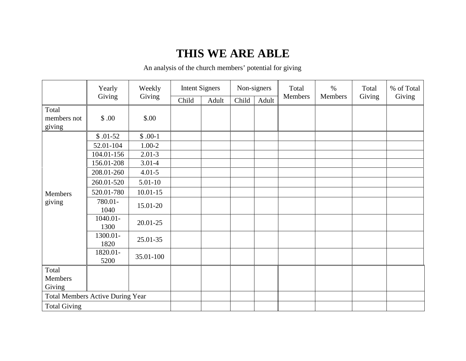## **THIS WE ARE ABLE**

An analysis of the church members' potential for giving

|                                | Yearly                                  | Weekly       | <b>Intent Signers</b> |       | Non-signers |       | Total   | $\%$    | Total  | % of Total |
|--------------------------------|-----------------------------------------|--------------|-----------------------|-------|-------------|-------|---------|---------|--------|------------|
|                                | Giving                                  | Giving       | Child                 | Adult | Child       | Adult | Members | Members | Giving | Giving     |
| Total<br>members not<br>giving | \$.00                                   | \$.00        |                       |       |             |       |         |         |        |            |
|                                | $$.01-52$                               | $$.00-1$     |                       |       |             |       |         |         |        |            |
|                                | 52.01-104                               | $1.00 - 2$   |                       |       |             |       |         |         |        |            |
|                                | 104.01-156                              | $2.01 - 3$   |                       |       |             |       |         |         |        |            |
|                                | 156.01-208                              | $3.01 - 4$   |                       |       |             |       |         |         |        |            |
| Members<br>giving              | 208.01-260                              | $4.01 - 5$   |                       |       |             |       |         |         |        |            |
|                                | 260.01-520                              | $5.01 - 10$  |                       |       |             |       |         |         |        |            |
|                                | 520.01-780                              | $10.01 - 15$ |                       |       |             |       |         |         |        |            |
|                                | 780.01-<br>1040                         | 15.01-20     |                       |       |             |       |         |         |        |            |
|                                | $1040.01 -$<br>1300                     | 20.01-25     |                       |       |             |       |         |         |        |            |
|                                | 1300.01-<br>1820                        | 25.01-35     |                       |       |             |       |         |         |        |            |
|                                | 1820.01-<br>5200                        | 35.01-100    |                       |       |             |       |         |         |        |            |
| Total<br>Members<br>Giving     |                                         |              |                       |       |             |       |         |         |        |            |
|                                | <b>Total Members Active During Year</b> |              |                       |       |             |       |         |         |        |            |
| <b>Total Giving</b>            |                                         |              |                       |       |             |       |         |         |        |            |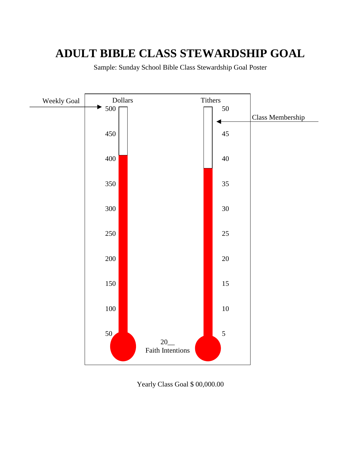## **ADULT BIBLE CLASS STEWARDSHIP GOAL**

Sample: Sunday School Bible Class Stewardship Goal Poster



Yearly Class Goal \$ 00,000.00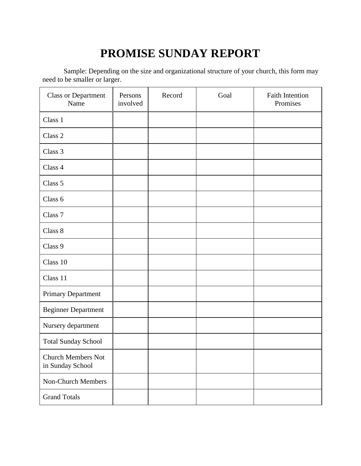# **PROMISE SUNDAY REPORT**

Sample: Depending on the size and organizational structure of your church, this form may need to be smaller or larger.

| <b>Class or Department</b><br>Name            | Persons<br>involved | Record | Goal | <b>Faith Intention</b><br>Promises |
|-----------------------------------------------|---------------------|--------|------|------------------------------------|
| Class 1                                       |                     |        |      |                                    |
| Class 2                                       |                     |        |      |                                    |
| Class 3                                       |                     |        |      |                                    |
| Class 4                                       |                     |        |      |                                    |
| Class 5                                       |                     |        |      |                                    |
| Class 6                                       |                     |        |      |                                    |
| Class 7                                       |                     |        |      |                                    |
| Class 8                                       |                     |        |      |                                    |
| Class 9                                       |                     |        |      |                                    |
| Class 10                                      |                     |        |      |                                    |
| Class 11                                      |                     |        |      |                                    |
| Primary Department                            |                     |        |      |                                    |
| <b>Beginner Department</b>                    |                     |        |      |                                    |
| Nursery department                            |                     |        |      |                                    |
| <b>Total Sunday School</b>                    |                     |        |      |                                    |
| <b>Church Members Not</b><br>in Sunday School |                     |        |      |                                    |
| Non-Church Members                            |                     |        |      |                                    |
| <b>Grand Totals</b>                           |                     |        |      |                                    |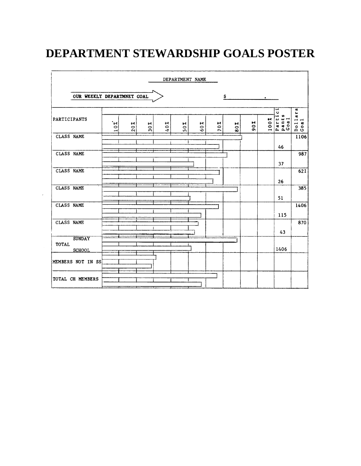# **DEPARTMENT STEWARDSHIP GOALS POSTER**

|                                                |                                                    |                                             |                                       |                    | DEPARTMENT NAME                        |                          |                    |                                                       |                                                 |           |                                                               |                                                                                                                 |
|------------------------------------------------|----------------------------------------------------|---------------------------------------------|---------------------------------------|--------------------|----------------------------------------|--------------------------|--------------------|-------------------------------------------------------|-------------------------------------------------|-----------|---------------------------------------------------------------|-----------------------------------------------------------------------------------------------------------------|
| OUR WEEKLY DEPARTMNET GOAL                     |                                                    |                                             |                                       |                    |                                        |                          |                    | \$                                                    |                                                 | $\bullet$ |                                                               |                                                                                                                 |
| PARTICIPANTS                                   | $\cdot$ sel<br>$\circ$<br>$\overline{\phantom{0}}$ | 9-6<br>$\bullet$<br>$\overline{\mathbf{c}}$ | $\approx$<br>$\overline{\mathbf{30}}$ | ۶ę<br>$\circ$<br>4 | $\tilde{\mathbf{z}}$<br>$\circ$<br>in. | $\sim$<br>$\bullet$<br>Ó | সং<br>$\circ$<br>r | $\tilde{\phantom{a}}$<br>$\ddot{\bullet}$<br>$\infty$ | $\overline{\mathbf{r}}$<br>$\circ$<br>$\bullet$ | 100%      | ⊶<br>$\ddot{\phantom{0}}$<br>÷<br>m<br>Parti<br>Panti<br>Coal | œ<br>$\blacksquare$<br>Gđ<br>$\overline{\phantom{a}}$<br>$\mathbf{a}$<br>$\overline{\phantom{0}}$<br>o o<br>A c |
| CLASS NAME                                     |                                                    |                                             |                                       |                    |                                        |                          |                    |                                                       |                                                 |           | 46                                                            | 1106                                                                                                            |
| CLASS NAME                                     |                                                    |                                             |                                       |                    |                                        |                          |                    |                                                       |                                                 |           | 37                                                            | 987                                                                                                             |
| CLASS NAME                                     |                                                    |                                             |                                       |                    |                                        |                          |                    |                                                       |                                                 |           | 26                                                            | 621                                                                                                             |
| <b>CLASS NAME</b>                              |                                                    |                                             |                                       |                    |                                        |                          |                    |                                                       |                                                 |           | 51                                                            | 385                                                                                                             |
| <b>CLASS NAME</b>                              |                                                    |                                             |                                       |                    |                                        |                          |                    |                                                       |                                                 |           | 115                                                           | 1406                                                                                                            |
| <b>CLASS NAME</b>                              |                                                    |                                             |                                       |                    |                                        |                          |                    |                                                       |                                                 |           | 43                                                            | 870                                                                                                             |
| <b>SUNDAY</b><br><b>TOTAL</b><br><b>SCHOOL</b> |                                                    |                                             |                                       |                    |                                        |                          |                    |                                                       |                                                 |           | 1406                                                          |                                                                                                                 |
| MEMBERS NOT IN SS                              |                                                    |                                             |                                       |                    |                                        |                          |                    |                                                       |                                                 |           |                                                               |                                                                                                                 |
| TOTAL CH MEMBERS                               |                                                    |                                             |                                       |                    |                                        |                          |                    |                                                       |                                                 |           |                                                               |                                                                                                                 |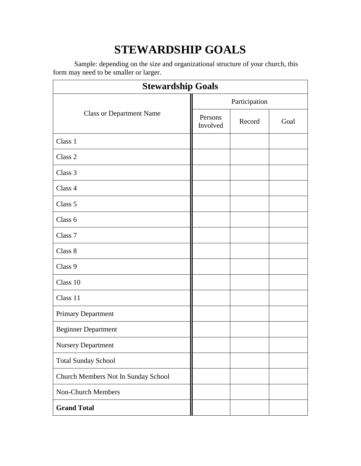# **STEWARDSHIP GOALS**

Sample: depending on the size and organizational structure of your church, this form may need to be smaller or larger.

| <b>Stewardship Goals</b>            |                     |        |      |  |  |  |
|-------------------------------------|---------------------|--------|------|--|--|--|
|                                     | Participation       |        |      |  |  |  |
| <b>Class or Department Name</b>     | Persons<br>Involved | Record | Goal |  |  |  |
| Class 1                             |                     |        |      |  |  |  |
| Class 2                             |                     |        |      |  |  |  |
| Class 3                             |                     |        |      |  |  |  |
| Class 4                             |                     |        |      |  |  |  |
| Class 5                             |                     |        |      |  |  |  |
| Class 6                             |                     |        |      |  |  |  |
| Class 7                             |                     |        |      |  |  |  |
| Class 8                             |                     |        |      |  |  |  |
| Class 9                             |                     |        |      |  |  |  |
| Class 10                            |                     |        |      |  |  |  |
| Class 11                            |                     |        |      |  |  |  |
| Primary Department                  |                     |        |      |  |  |  |
| <b>Beginner Department</b>          |                     |        |      |  |  |  |
| <b>Nursery Department</b>           |                     |        |      |  |  |  |
| <b>Total Sunday School</b>          |                     |        |      |  |  |  |
| Church Members Not In Sunday School |                     |        |      |  |  |  |
| Non-Church Members                  |                     |        |      |  |  |  |
| <b>Grand Total</b>                  |                     |        |      |  |  |  |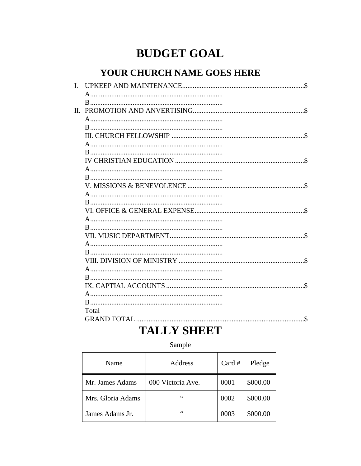## **BUDGET GOAL**

### YOUR CHURCH NAME GOES HERE

| Total                             |
|-----------------------------------|
| $\mathbf{\hat{S}}$<br>GRAND TOTAL |

### **TALLY SHEET**

### Sample

| Name              | Address           | Card # | Pledge   |
|-------------------|-------------------|--------|----------|
| Mr. James Adams   | 000 Victoria Ave. | 0001   | \$000.00 |
| Mrs. Gloria Adams | 66                | 0002   | \$000.00 |
| James Adams Jr.   | 66                | 0003   | \$000.00 |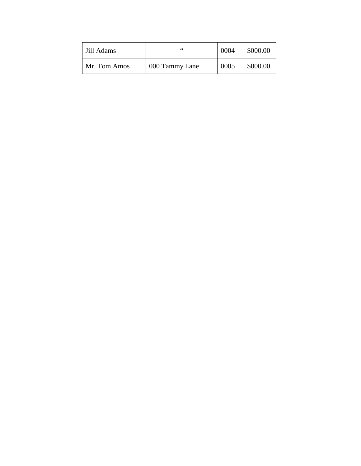| Jill Adams   | 66             | 0004 | \$000.00 |
|--------------|----------------|------|----------|
| Mr. Tom Amos | 000 Tammy Lane | 0005 | \$000.00 |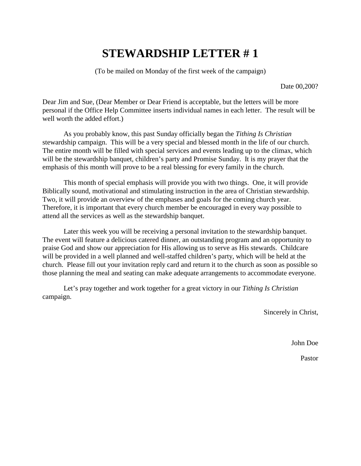### **STEWARDSHIP LETTER # 1**

(To be mailed on Monday of the first week of the campaign)

Date 00,200?

Dear Jim and Sue, (Dear Member or Dear Friend is acceptable, but the letters will be more personal if the Office Help Committee inserts individual names in each letter. The result will be well worth the added effort.)

As you probably know, this past Sunday officially began the *Tithing Is Christian* stewardship campaign. This will be a very special and blessed month in the life of our church. The entire month will be filled with special services and events leading up to the climax, which will be the stewardship banquet, children's party and Promise Sunday. It is my prayer that the emphasis of this month will prove to be a real blessing for every family in the church.

This month of special emphasis will provide you with two things. One, it will provide Biblically sound, motivational and stimulating instruction in the area of Christian stewardship. Two, it will provide an overview of the emphases and goals for the coming church year. Therefore, it is important that every church member be encouraged in every way possible to attend all the services as well as the stewardship banquet.

Later this week you will be receiving a personal invitation to the stewardship banquet. The event will feature a delicious catered dinner, an outstanding program and an opportunity to praise God and show our appreciation for His allowing us to serve as His stewards. Childcare will be provided in a well planned and well-staffed children's party, which will be held at the church. Please fill out your invitation reply card and return it to the church as soon as possible so those planning the meal and seating can make adequate arrangements to accommodate everyone.

Let's pray together and work together for a great victory in our *Tithing Is Christian*  campaign.

Sincerely in Christ,

John Doe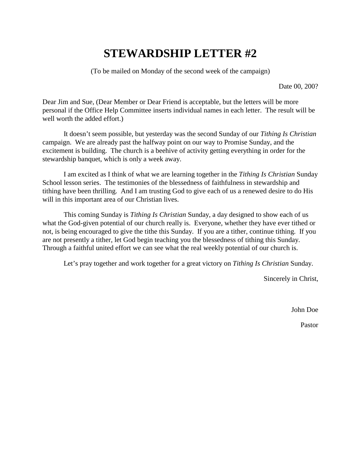## **STEWARDSHIP LETTER #2**

(To be mailed on Monday of the second week of the campaign)

Date 00, 200?

Dear Jim and Sue, (Dear Member or Dear Friend is acceptable, but the letters will be more personal if the Office Help Committee inserts individual names in each letter. The result will be well worth the added effort.)

It doesn't seem possible, but yesterday was the second Sunday of our *Tithing Is Christian* campaign. We are already past the halfway point on our way to Promise Sunday, and the excitement is building. The church is a beehive of activity getting everything in order for the stewardship banquet, which is only a week away.

I am excited as I think of what we are learning together in the *Tithing Is Christian* Sunday School lesson series. The testimonies of the blessedness of faithfulness in stewardship and tithing have been thrilling. And I am trusting God to give each of us a renewed desire to do His will in this important area of our Christian lives.

This coming Sunday is *Tithing Is Christian* Sunday, a day designed to show each of us what the God-given potential of our church really is. Everyone, whether they have ever tithed or not, is being encouraged to give the tithe this Sunday. If you are a tither, continue tithing. If you are not presently a tither, let God begin teaching you the blessedness of tithing this Sunday. Through a faithful united effort we can see what the real weekly potential of our church is.

Let's pray together and work together for a great victory on *Tithing Is Christian* Sunday.

Sincerely in Christ,

John Doe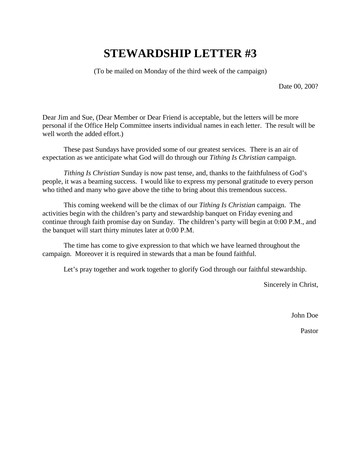## **STEWARDSHIP LETTER #3**

(To be mailed on Monday of the third week of the campaign)

Date 00, 200?

Dear Jim and Sue, (Dear Member or Dear Friend is acceptable, but the letters will be more personal if the Office Help Committee inserts individual names in each letter. The result will be well worth the added effort.)

These past Sundays have provided some of our greatest services. There is an air of expectation as we anticipate what God will do through our *Tithing Is Christian* campaign.

*Tithing Is Christian* Sunday is now past tense, and, thanks to the faithfulness of God's people, it was a beaming success. I would like to express my personal gratitude to every person who tithed and many who gave above the tithe to bring about this tremendous success.

This coming weekend will be the climax of our *Tithing Is Christian* campaign. The activities begin with the children's party and stewardship banquet on Friday evening and continue through faith promise day on Sunday. The children's party will begin at 0:00 P.M., and the banquet will start thirty minutes later at 0:00 P.M.

The time has come to give expression to that which we have learned throughout the campaign. Moreover it is required in stewards that a man be found faithful.

Let's pray together and work together to glorify God through our faithful stewardship.

Sincerely in Christ,

John Doe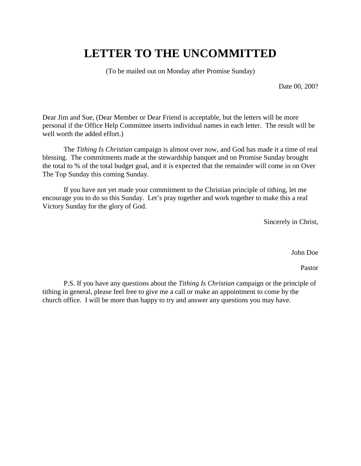### **LETTER TO THE UNCOMMITTED**

(To be mailed out on Monday after Promise Sunday)

Date 00, 200?

Dear Jim and Sue, (Dear Member or Dear Friend is acceptable, but the letters will be more personal if the Office Help Committee inserts individual names in each letter. The result will be well worth the added effort.)

The *Tithing Is Christian* campaign is almost over now, and God has made it a time of real blessing. The commitments made at the stewardship banquet and on Promise Sunday brought the total to % of the total budget goal, and it is expected that the remainder will come in on Over The Top Sunday this coming Sunday.

If you have not yet made your commitment to the Christian principle of tithing, let me encourage you to do so this Sunday. Let's pray together and work together to make this a real Victory Sunday for the glory of God.

Sincerely in Christ,

John Doe

Pastor

P.S. If you have any questions about the *Tithing Is Christian* campaign or the principle of tithing in general, please feel free to give me a call or make an appointment to come by the church office. I will be more than happy to try and answer any questions you may have.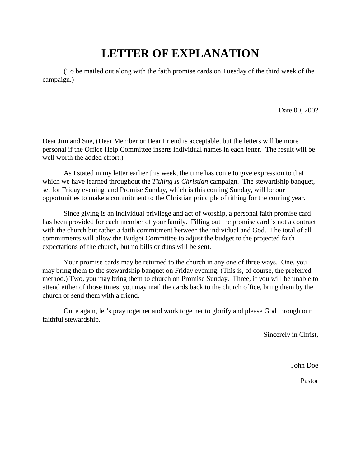## **LETTER OF EXPLANATION**

(To be mailed out along with the faith promise cards on Tuesday of the third week of the campaign.)

Date 00, 200?

Dear Jim and Sue, (Dear Member or Dear Friend is acceptable, but the letters will be more personal if the Office Help Committee inserts individual names in each letter. The result will be well worth the added effort.)

As I stated in my letter earlier this week, the time has come to give expression to that which we have learned throughout the *Tithing Is Christian* campaign. The stewardship banquet, set for Friday evening, and Promise Sunday, which is this coming Sunday, will be our opportunities to make a commitment to the Christian principle of tithing for the coming year.

Since giving is an individual privilege and act of worship, a personal faith promise card has been provided for each member of your family. Filling out the promise card is not a contract with the church but rather a faith commitment between the individual and God. The total of all commitments will allow the Budget Committee to adjust the budget to the projected faith expectations of the church, but no bills or duns will be sent.

Your promise cards may be returned to the church in any one of three ways. One, you may bring them to the stewardship banquet on Friday evening. (This is, of course, the preferred method.) Two, you may bring them to church on Promise Sunday. Three, if you will be unable to attend either of those times, you may mail the cards back to the church office, bring them by the church or send them with a friend.

Once again, let's pray together and work together to glorify and please God through our faithful stewardship.

Sincerely in Christ,

John Doe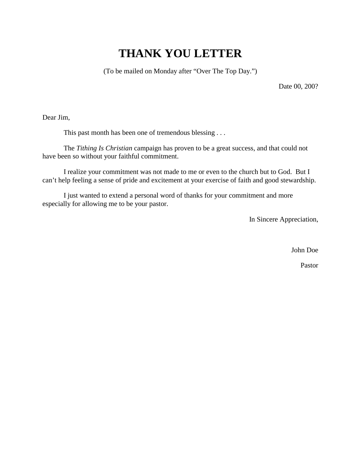## **THANK YOU LETTER**

(To be mailed on Monday after "Over The Top Day.")

Date 00, 200?

Dear Jim,

This past month has been one of tremendous blessing . . .

The *Tithing Is Christian* campaign has proven to be a great success, and that could not have been so without your faithful commitment.

I realize your commitment was not made to me or even to the church but to God. But I can't help feeling a sense of pride and excitement at your exercise of faith and good stewardship.

I just wanted to extend a personal word of thanks for your commitment and more especially for allowing me to be your pastor.

In Sincere Appreciation,

John Doe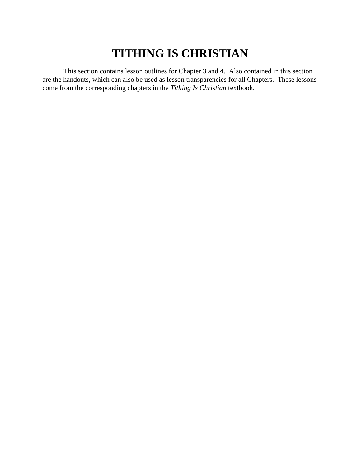## **TITHING IS CHRISTIAN**

This section contains lesson outlines for Chapter 3 and 4. Also contained in this section are the handouts, which can also be used as lesson transparencies for all Chapters. These lessons come from the corresponding chapters in the *Tithing Is Christian* textbook.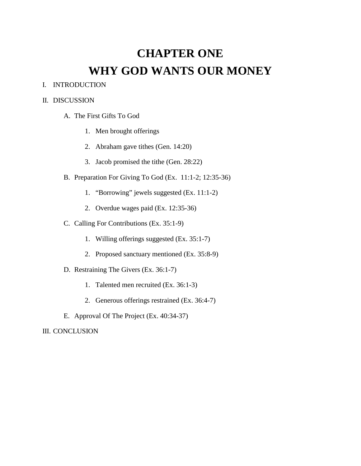# **CHAPTER ONE WHY GOD WANTS OUR MONEY**

#### I. INTRODUCTION

#### II. DISCUSSION

- A. The First Gifts To God
	- 1. Men brought offerings
	- 2. Abraham gave tithes (Gen. 14:20)
	- 3. Jacob promised the tithe (Gen. 28:22)
- B. Preparation For Giving To God (Ex. 11:1-2; 12:35-36)
	- 1. "Borrowing" jewels suggested (Ex. 11:1-2)
	- 2. Overdue wages paid (Ex. 12:35-36)
- C. Calling For Contributions (Ex. 35:1-9)
	- 1. Willing offerings suggested (Ex. 35:1-7)
	- 2. Proposed sanctuary mentioned (Ex. 35:8-9)
- D. Restraining The Givers (Ex. 36:1-7)
	- 1. Talented men recruited (Ex. 36:1-3)
	- 2. Generous offerings restrained (Ex. 36:4-7)
- E. Approval Of The Project (Ex. 40:34-37)

III. CONCLUSION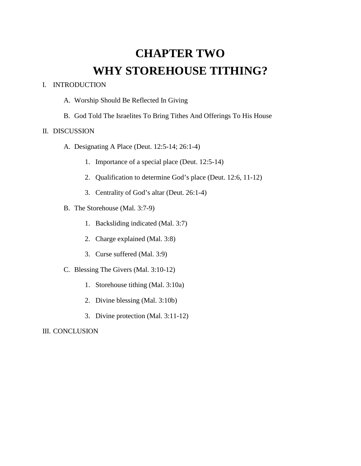# **CHAPTER TWO WHY STOREHOUSE TITHING?**

#### I. INTRODUCTION

- A. Worship Should Be Reflected In Giving
- B. God Told The Israelites To Bring Tithes And Offerings To His House

#### II. DISCUSSION

- A. Designating A Place (Deut. 12:5-14; 26:1-4)
	- 1. Importance of a special place (Deut. 12:5-14)
	- 2. Qualification to determine God's place (Deut. 12:6, 11-12)
	- 3. Centrality of God's altar (Deut. 26:1-4)
- B. The Storehouse (Mal. 3:7-9)
	- 1. Backsliding indicated (Mal. 3:7)
	- 2. Charge explained (Mal. 3:8)
	- 3. Curse suffered (Mal. 3:9)
- C. Blessing The Givers (Mal. 3:10-12)
	- 1. Storehouse tithing (Mal. 3:10a)
	- 2. Divine blessing (Mal. 3:10b)
	- 3. Divine protection (Mal. 3:11-12)

#### III. CONCLUSION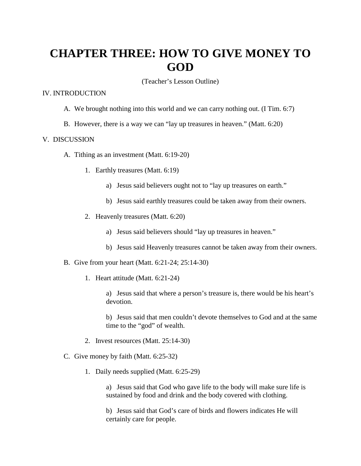### **CHAPTER THREE: HOW TO GIVE MONEY TO GOD**

(Teacher's Lesson Outline)

#### IV. INTRODUCTION

- A. We brought nothing into this world and we can carry nothing out. (I Tim. 6:7)
- B. However, there is a way we can "lay up treasures in heaven." (Matt. 6:20)

#### V. DISCUSSION

- A. Tithing as an investment (Matt. 6:19-20)
	- 1. Earthly treasures (Matt. 6:19)
		- a) Jesus said believers ought not to "lay up treasures on earth."
		- b) Jesus said earthly treasures could be taken away from their owners.
	- 2. Heavenly treasures (Matt. 6:20)
		- a) Jesus said believers should "lay up treasures in heaven."
		- b) Jesus said Heavenly treasures cannot be taken away from their owners.
- B. Give from your heart (Matt. 6:21-24; 25:14-30)
	- 1. Heart attitude (Matt. 6:21-24)
		- a) Jesus said that where a person's treasure is, there would be his heart's devotion.
		- b) Jesus said that men couldn't devote themselves to God and at the same time to the "god" of wealth.
	- 2. Invest resources (Matt. 25:14-30)
- C. Give money by faith (Matt. 6:25-32)
	- 1. Daily needs supplied (Matt. 6:25-29)

a) Jesus said that God who gave life to the body will make sure life is sustained by food and drink and the body covered with clothing.

b) Jesus said that God's care of birds and flowers indicates He will certainly care for people.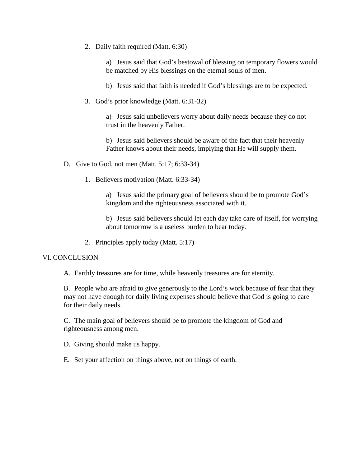2. Daily faith required (Matt. 6:30)

a) Jesus said that God's bestowal of blessing on temporary flowers would be matched by His blessings on the eternal souls of men.

b) Jesus said that faith is needed if God's blessings are to be expected.

3. God's prior knowledge (Matt. 6:31-32)

a) Jesus said unbelievers worry about daily needs because they do not trust in the heavenly Father.

b) Jesus said believers should be aware of the fact that their heavenly Father knows about their needs, implying that He will supply them.

- D. Give to God, not men (Matt. 5:17; 6:33-34)
	- 1. Believers motivation (Matt. 6:33-34)

a) Jesus said the primary goal of believers should be to promote God's kingdom and the righteousness associated with it.

b) Jesus said believers should let each day take care of itself, for worrying about tomorrow is a useless burden to bear today.

2. Principles apply today (Matt. 5:17)

#### VI. CONCLUSION

A. Earthly treasures are for time, while heavenly treasures are for eternity.

B. People who are afraid to give generously to the Lord's work because of fear that they may not have enough for daily living expenses should believe that God is going to care for their daily needs.

C. The main goal of believers should be to promote the kingdom of God and righteousness among men.

D. Giving should make us happy.

E. Set your affection on things above, not on things of earth.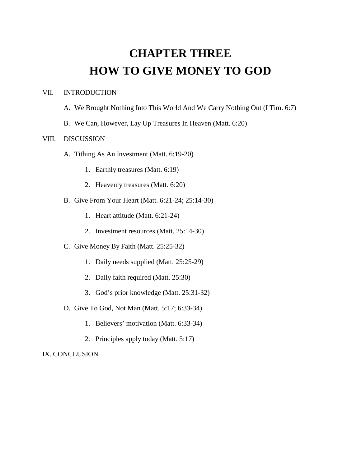# **CHAPTER THREE HOW TO GIVE MONEY TO GOD**

#### VII. INTRODUCTION

- A. We Brought Nothing Into This World And We Carry Nothing Out (I Tim. 6:7)
- B. We Can, However, Lay Up Treasures In Heaven (Matt. 6:20)

#### VIII. DISCUSSION

- A. Tithing As An Investment (Matt. 6:19-20)
	- 1. Earthly treasures (Matt. 6:19)
	- 2. Heavenly treasures (Matt. 6:20)
- B. Give From Your Heart (Matt. 6:21-24; 25:14-30)
	- 1. Heart attitude (Matt. 6:21-24)
	- 2. Investment resources (Matt. 25:14-30)
- C. Give Money By Faith (Matt. 25:25-32)
	- 1. Daily needs supplied (Matt. 25:25-29)
	- 2. Daily faith required (Matt. 25:30)
	- 3. God's prior knowledge (Matt. 25:31-32)
- D. Give To God, Not Man (Matt. 5:17; 6:33-34)
	- 1. Believers' motivation (Matt. 6:33-34)
	- 2. Principles apply today (Matt. 5:17)

IX. CONCLUSION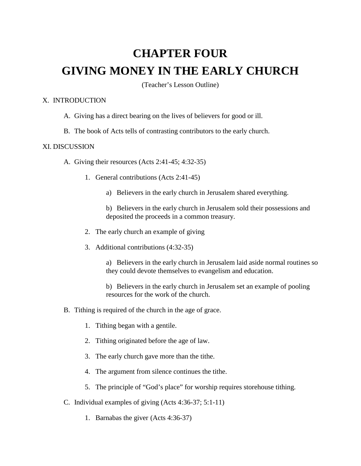# **CHAPTER FOUR GIVING MONEY IN THE EARLY CHURCH**

(Teacher's Lesson Outline)

#### X. INTRODUCTION

- A. Giving has a direct bearing on the lives of believers for good or ill.
- B. The book of Acts tells of contrasting contributors to the early church.

#### XI. DISCUSSION

- A. Giving their resources (Acts 2:41-45; 4:32-35)
	- 1. General contributions (Acts 2:41-45)
		- a) Believers in the early church in Jerusalem shared everything.
		- b) Believers in the early church in Jerusalem sold their possessions and deposited the proceeds in a common treasury.
	- 2. The early church an example of giving
	- 3. Additional contributions (4:32-35)

a) Believers in the early church in Jerusalem laid aside normal routines so they could devote themselves to evangelism and education.

b) Believers in the early church in Jerusalem set an example of pooling resources for the work of the church.

- B. Tithing is required of the church in the age of grace.
	- 1. Tithing began with a gentile.
	- 2. Tithing originated before the age of law.
	- 3. The early church gave more than the tithe.
	- 4. The argument from silence continues the tithe.
	- 5. The principle of "God's place" for worship requires storehouse tithing.
- C. Individual examples of giving (Acts 4:36-37; 5:1-11)
	- 1. Barnabas the giver (Acts 4:36-37)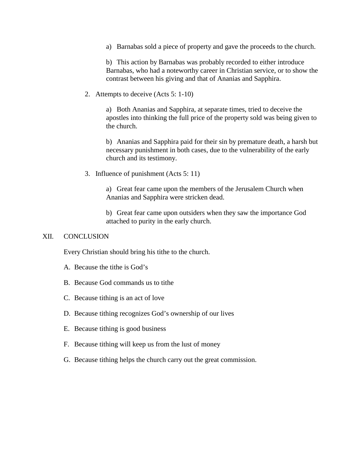a) Barnabas sold a piece of property and gave the proceeds to the church.

b) This action by Barnabas was probably recorded to either introduce Barnabas, who had a noteworthy career in Christian service, or to show the contrast between his giving and that of Ananias and Sapphira.

2. Attempts to deceive (Acts 5: 1-10)

a) Both Ananias and Sapphira, at separate times, tried to deceive the apostles into thinking the full price of the property sold was being given to the church.

b) Ananias and Sapphira paid for their sin by premature death, a harsh but necessary punishment in both cases, due to the vulnerability of the early church and its testimony.

3. Influence of punishment (Acts 5: 11)

a) Great fear came upon the members of the Jerusalem Church when Ananias and Sapphira were stricken dead.

b) Great fear came upon outsiders when they saw the importance God attached to purity in the early church.

#### XII. CONCLUSION

Every Christian should bring his tithe to the church.

- A. Because the tithe is God's
- B. Because God commands us to tithe
- C. Because tithing is an act of love
- D. Because tithing recognizes God's ownership of our lives
- E. Because tithing is good business
- F. Because tithing will keep us from the lust of money
- G. Because tithing helps the church carry out the great commission.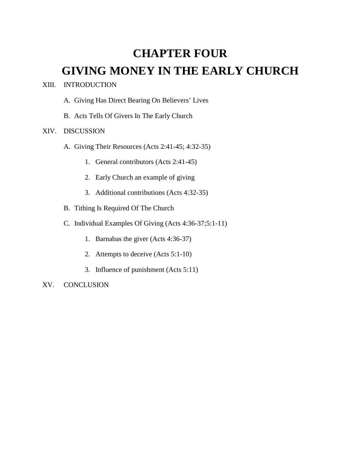# **CHAPTER FOUR GIVING MONEY IN THE EARLY CHURCH**

#### XIII. INTRODUCTION

- A. Giving Has Direct Bearing On Believers' Lives
- B. Acts Tells Of Givers In The Early Church

#### XIV. DISCUSSION

- A. Giving Their Resources (Acts 2:41-45; 4:32-35)
	- 1. General contributors (Acts 2:41-45)
	- 2. Early Church an example of giving
	- 3. Additional contributions (Acts 4:32-35)
- B. Tithing Is Required Of The Church
- C. Individual Examples Of Giving (Acts 4:36-37;5:1-11)
	- 1. Barnabas the giver (Acts 4:36-37)
	- 2. Attempts to deceive (Acts 5:1-10)
	- 3. Influence of punishment (Acts 5:11)

#### XV. CONCLUSION